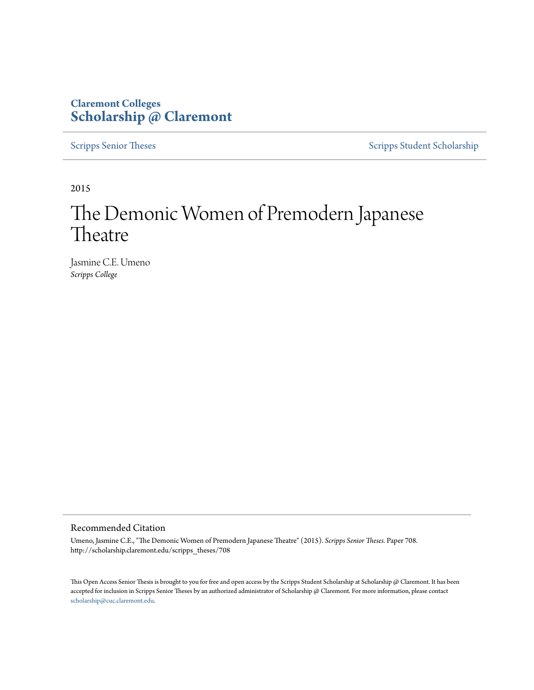## **Claremont Colleges [Scholarship @ Claremont](http://scholarship.claremont.edu)**

[Scripps Senior Theses](http://scholarship.claremont.edu/scripps_theses) [Scripps Student Scholarship](http://scholarship.claremont.edu/scripps_student)

2015

# The Demonic Women of Premodern Japanese **Theatre**

Jasmine C.E. Umeno *Scripps College*

#### Recommended Citation

Umeno, Jasmine C.E., "The Demonic Women of Premodern Japanese Theatre" (2015). *Scripps Senior Theses.* Paper 708. http://scholarship.claremont.edu/scripps\_theses/708

This Open Access Senior Thesis is brought to you for free and open access by the Scripps Student Scholarship at Scholarship @ Claremont. It has been accepted for inclusion in Scripps Senior Theses by an authorized administrator of Scholarship @ Claremont. For more information, please contact [scholarship@cuc.claremont.edu.](mailto:scholarship@cuc.claremont.edu)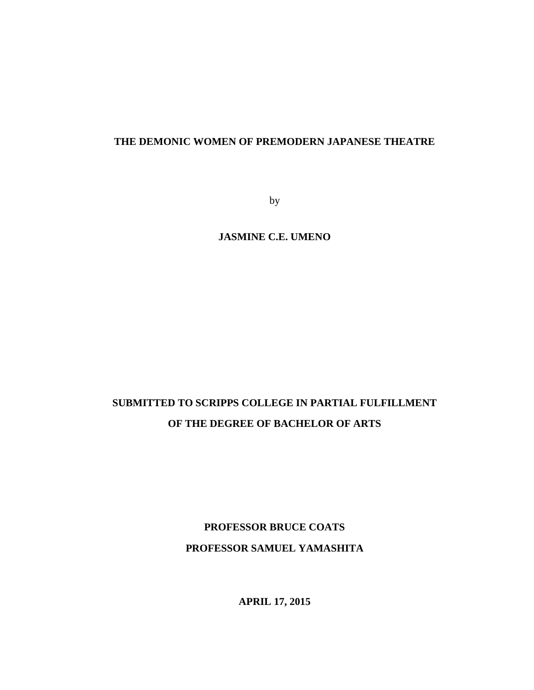### **THE DEMONIC WOMEN OF PREMODERN JAPANESE THEATRE**

by

**JASMINE C.E. UMENO**

## **SUBMITTED TO SCRIPPS COLLEGE IN PARTIAL FULFILLMENT OF THE DEGREE OF BACHELOR OF ARTS**

**PROFESSOR BRUCE COATS PROFESSOR SAMUEL YAMASHITA**

**APRIL 17, 2015**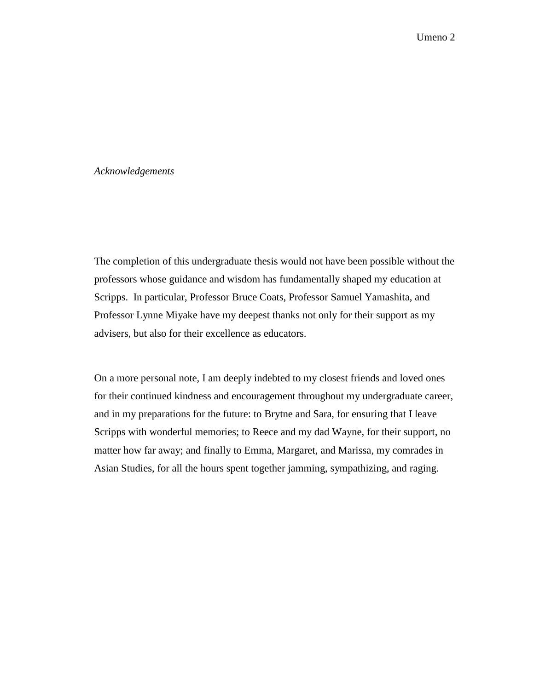#### *Acknowledgements*

The completion of this undergraduate thesis would not have been possible without the professors whose guidance and wisdom has fundamentally shaped my education at Scripps. In particular, Professor Bruce Coats, Professor Samuel Yamashita, and Professor Lynne Miyake have my deepest thanks not only for their support as my advisers, but also for their excellence as educators.

On a more personal note, I am deeply indebted to my closest friends and loved ones for their continued kindness and encouragement throughout my undergraduate career, and in my preparations for the future: to Brytne and Sara, for ensuring that I leave Scripps with wonderful memories; to Reece and my dad Wayne, for their support, no matter how far away; and finally to Emma, Margaret, and Marissa, my comrades in Asian Studies, for all the hours spent together jamming, sympathizing, and raging.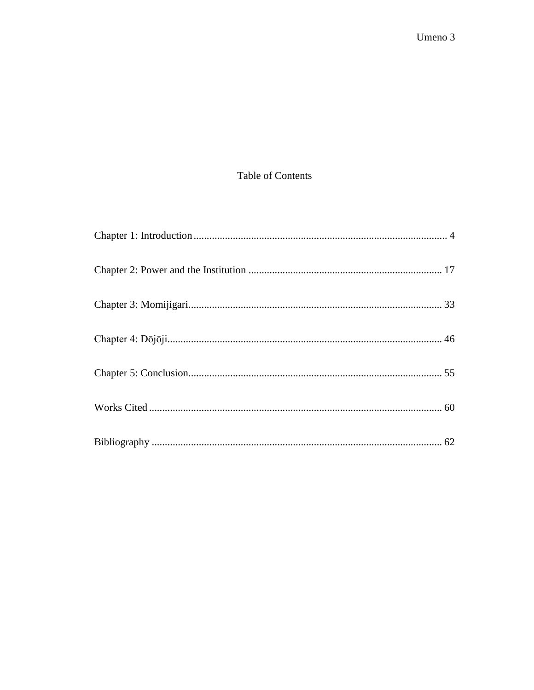## Table of Contents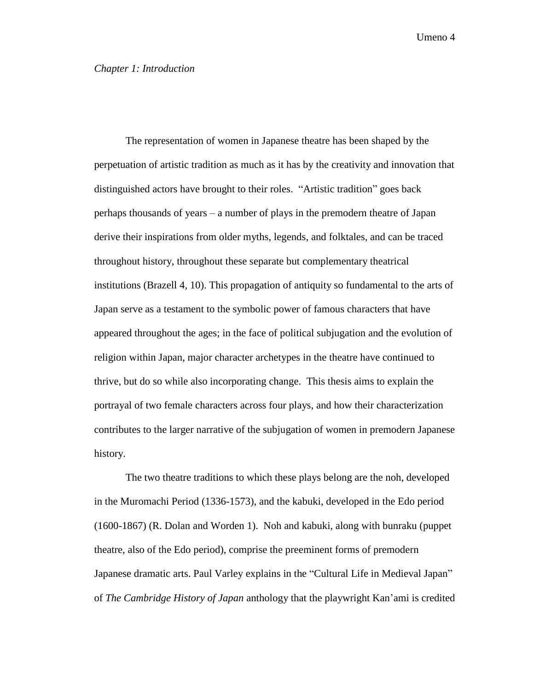#### <span id="page-4-0"></span>*Chapter 1: Introduction*

The representation of women in Japanese theatre has been shaped by the perpetuation of artistic tradition as much as it has by the creativity and innovation that distinguished actors have brought to their roles. "Artistic tradition" goes back perhaps thousands of years – a number of plays in the premodern theatre of Japan derive their inspirations from older myths, legends, and folktales, and can be traced throughout history, throughout these separate but complementary theatrical institutions (Brazell 4, 10). This propagation of antiquity so fundamental to the arts of Japan serve as a testament to the symbolic power of famous characters that have appeared throughout the ages; in the face of political subjugation and the evolution of religion within Japan, major character archetypes in the theatre have continued to thrive, but do so while also incorporating change. This thesis aims to explain the portrayal of two female characters across four plays, and how their characterization contributes to the larger narrative of the subjugation of women in premodern Japanese history.

The two theatre traditions to which these plays belong are the noh, developed in the Muromachi Period (1336-1573), and the kabuki, developed in the Edo period (1600-1867) (R. Dolan and Worden 1). Noh and kabuki, along with bunraku (puppet theatre, also of the Edo period), comprise the preeminent forms of premodern Japanese dramatic arts. Paul Varley explains in the "Cultural Life in Medieval Japan" of *The Cambridge History of Japan* anthology that the playwright Kan'ami is credited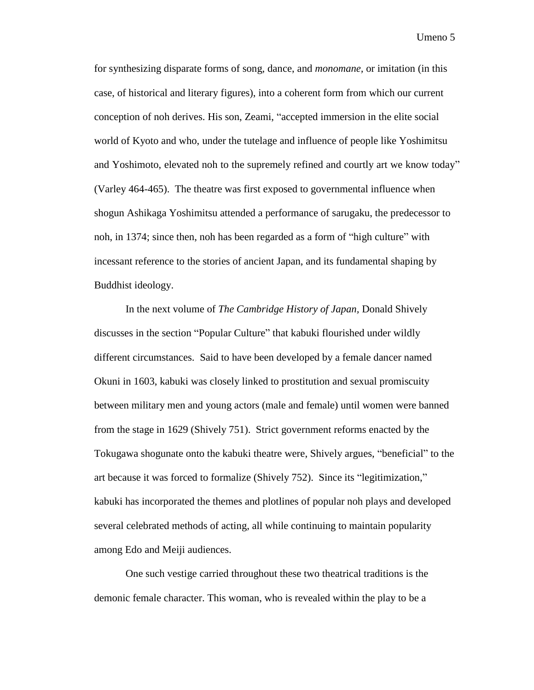for synthesizing disparate forms of song, dance, and *monomane,* or imitation (in this case, of historical and literary figures), into a coherent form from which our current conception of noh derives. His son, Zeami, "accepted immersion in the elite social world of Kyoto and who, under the tutelage and influence of people like Yoshimitsu and Yoshimoto, elevated noh to the supremely refined and courtly art we know today" (Varley 464-465). The theatre was first exposed to governmental influence when shogun Ashikaga Yoshimitsu attended a performance of sarugaku, the predecessor to noh, in 1374; since then, noh has been regarded as a form of "high culture" with incessant reference to the stories of ancient Japan, and its fundamental shaping by Buddhist ideology.

In the next volume of *The Cambridge History of Japan,* Donald Shively discusses in the section "Popular Culture" that kabuki flourished under wildly different circumstances. Said to have been developed by a female dancer named Okuni in 1603, kabuki was closely linked to prostitution and sexual promiscuity between military men and young actors (male and female) until women were banned from the stage in 1629 (Shively 751). Strict government reforms enacted by the Tokugawa shogunate onto the kabuki theatre were, Shively argues, "beneficial" to the art because it was forced to formalize (Shively 752). Since its "legitimization," kabuki has incorporated the themes and plotlines of popular noh plays and developed several celebrated methods of acting, all while continuing to maintain popularity among Edo and Meiji audiences.

One such vestige carried throughout these two theatrical traditions is the demonic female character. This woman, who is revealed within the play to be a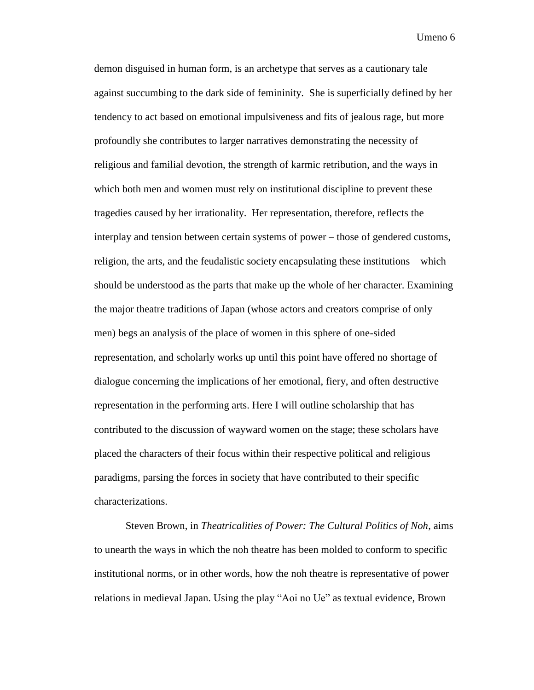demon disguised in human form, is an archetype that serves as a cautionary tale against succumbing to the dark side of femininity. She is superficially defined by her tendency to act based on emotional impulsiveness and fits of jealous rage, but more profoundly she contributes to larger narratives demonstrating the necessity of religious and familial devotion, the strength of karmic retribution, and the ways in which both men and women must rely on institutional discipline to prevent these tragedies caused by her irrationality. Her representation, therefore, reflects the interplay and tension between certain systems of power – those of gendered customs, religion, the arts, and the feudalistic society encapsulating these institutions – which should be understood as the parts that make up the whole of her character. Examining the major theatre traditions of Japan (whose actors and creators comprise of only men) begs an analysis of the place of women in this sphere of one-sided representation, and scholarly works up until this point have offered no shortage of dialogue concerning the implications of her emotional, fiery, and often destructive representation in the performing arts. Here I will outline scholarship that has contributed to the discussion of wayward women on the stage; these scholars have placed the characters of their focus within their respective political and religious paradigms, parsing the forces in society that have contributed to their specific characterizations.

Steven Brown, in *Theatricalities of Power: The Cultural Politics of Noh*, aims to unearth the ways in which the noh theatre has been molded to conform to specific institutional norms, or in other words, how the noh theatre is representative of power relations in medieval Japan. Using the play "Aoi no Ue" as textual evidence, Brown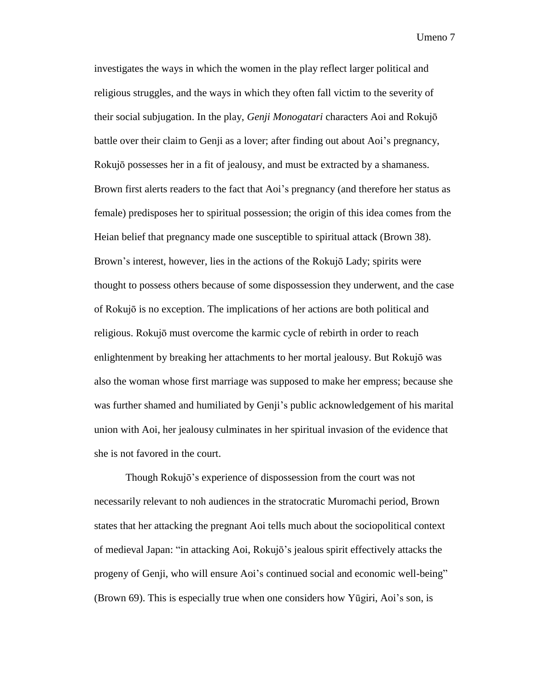investigates the ways in which the women in the play reflect larger political and religious struggles, and the ways in which they often fall victim to the severity of their social subjugation. In the play, *Genji Monogatari* characters Aoi and Rokujō battle over their claim to Genji as a lover; after finding out about Aoi's pregnancy, Rokujō possesses her in a fit of jealousy, and must be extracted by a shamaness. Brown first alerts readers to the fact that Aoi's pregnancy (and therefore her status as female) predisposes her to spiritual possession; the origin of this idea comes from the Heian belief that pregnancy made one susceptible to spiritual attack (Brown 38). Brown's interest, however, lies in the actions of the Rokujō Lady; spirits were thought to possess others because of some dispossession they underwent, and the case of Rokujō is no exception. The implications of her actions are both political and religious. Rokujō must overcome the karmic cycle of rebirth in order to reach enlightenment by breaking her attachments to her mortal jealousy. But Rokujō was also the woman whose first marriage was supposed to make her empress; because she was further shamed and humiliated by Genji's public acknowledgement of his marital union with Aoi, her jealousy culminates in her spiritual invasion of the evidence that she is not favored in the court.

Though Rokujō's experience of dispossession from the court was not necessarily relevant to noh audiences in the stratocratic Muromachi period, Brown states that her attacking the pregnant Aoi tells much about the sociopolitical context of medieval Japan: "in attacking Aoi, Rokujō's jealous spirit effectively attacks the progeny of Genji, who will ensure Aoi's continued social and economic well-being" (Brown 69). This is especially true when one considers how Yūgiri, Aoi's son, is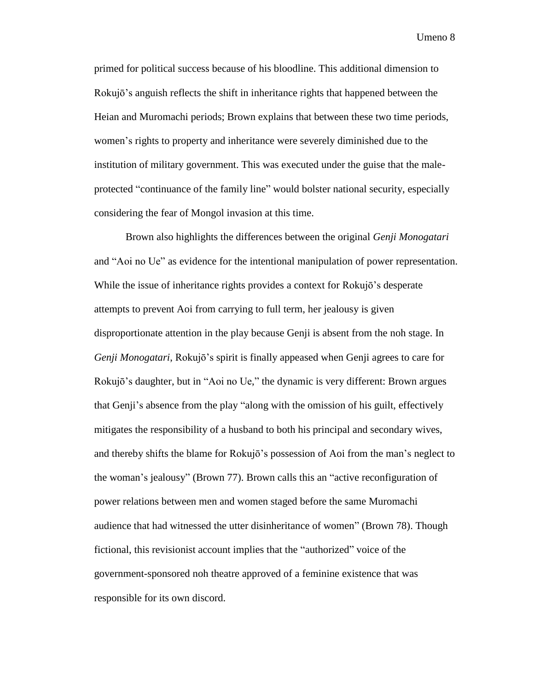primed for political success because of his bloodline. This additional dimension to Rokujō's anguish reflects the shift in inheritance rights that happened between the Heian and Muromachi periods; Brown explains that between these two time periods, women's rights to property and inheritance were severely diminished due to the institution of military government. This was executed under the guise that the maleprotected "continuance of the family line" would bolster national security, especially considering the fear of Mongol invasion at this time.

Brown also highlights the differences between the original *Genji Monogatari* and "Aoi no Ue" as evidence for the intentional manipulation of power representation. While the issue of inheritance rights provides a context for Rokujō's desperate attempts to prevent Aoi from carrying to full term, her jealousy is given disproportionate attention in the play because Genji is absent from the noh stage. In *Genji Monogatari*, Rokujō's spirit is finally appeased when Genji agrees to care for Rokujō's daughter, but in "Aoi no Ue," the dynamic is very different: Brown argues that Genji's absence from the play "along with the omission of his guilt, effectively mitigates the responsibility of a husband to both his principal and secondary wives, and thereby shifts the blame for Rokujō's possession of Aoi from the man's neglect to the woman's jealousy" (Brown 77). Brown calls this an "active reconfiguration of power relations between men and women staged before the same Muromachi audience that had witnessed the utter disinheritance of women" (Brown 78). Though fictional, this revisionist account implies that the "authorized" voice of the government-sponsored noh theatre approved of a feminine existence that was responsible for its own discord.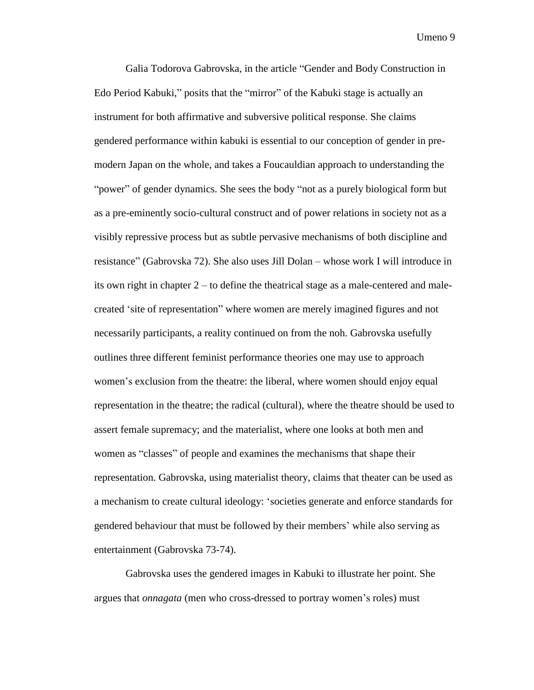Galia Todorova Gabrovska, in the article "Gender and Body Construction in Edo Period Kabuki," posits that the "mirror" of the Kabuki stage is actually an instrument for both affirmative and subversive political response. She claims gendered performance within kabuki is essential to our conception of gender in premodern Japan on the whole, and takes a Foucauldian approach to understanding the "power" of gender dynamics. She sees the body "not as a purely biological form but as a pre-eminently socio-cultural construct and of power relations in society not as a visibly repressive process but as subtle pervasive mechanisms of both discipline and resistance" (Gabrovska 72). She also uses Jill Dolan – whose work I will introduce in its own right in chapter 2 – to define the theatrical stage as a male-centered and malecreated 'site of representation" where women are merely imagined figures and not necessarily participants, a reality continued on from the noh. Gabrovska usefully outlines three different feminist performance theories one may use to approach women's exclusion from the theatre: the liberal, where women should enjoy equal representation in the theatre; the radical (cultural), where the theatre should be used to assert female supremacy; and the materialist, where one looks at both men and women as "classes" of people and examines the mechanisms that shape their representation. Gabrovska, using materialist theory, claims that theater can be used as a mechanism to create cultural ideology: 'societies generate and enforce standards for gendered behaviour that must be followed by their members' while also serving as entertainment (Gabrovska 73-74).

Gabrovska uses the gendered images in Kabuki to illustrate her point. She argues that *onnagata* (men who cross-dressed to portray women's roles) must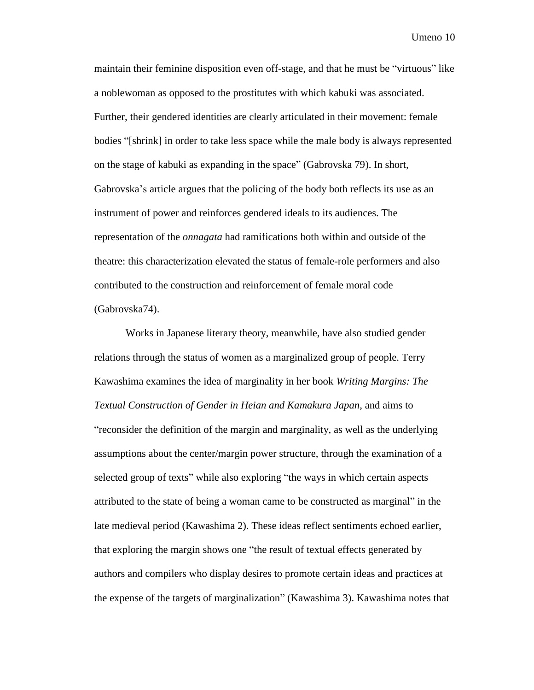maintain their feminine disposition even off-stage, and that he must be "virtuous" like a noblewoman as opposed to the prostitutes with which kabuki was associated. Further, their gendered identities are clearly articulated in their movement: female bodies "[shrink] in order to take less space while the male body is always represented on the stage of kabuki as expanding in the space" (Gabrovska 79). In short, Gabrovska's article argues that the policing of the body both reflects its use as an instrument of power and reinforces gendered ideals to its audiences. The representation of the *onnagata* had ramifications both within and outside of the theatre: this characterization elevated the status of female-role performers and also contributed to the construction and reinforcement of female moral code (Gabrovska74).

Works in Japanese literary theory, meanwhile, have also studied gender relations through the status of women as a marginalized group of people. Terry Kawashima examines the idea of marginality in her book *Writing Margins: The Textual Construction of Gender in Heian and Kamakura Japan*, and aims to "reconsider the definition of the margin and marginality, as well as the underlying assumptions about the center/margin power structure, through the examination of a selected group of texts" while also exploring "the ways in which certain aspects attributed to the state of being a woman came to be constructed as marginal" in the late medieval period (Kawashima 2). These ideas reflect sentiments echoed earlier, that exploring the margin shows one "the result of textual effects generated by authors and compilers who display desires to promote certain ideas and practices at the expense of the targets of marginalization" (Kawashima 3). Kawashima notes that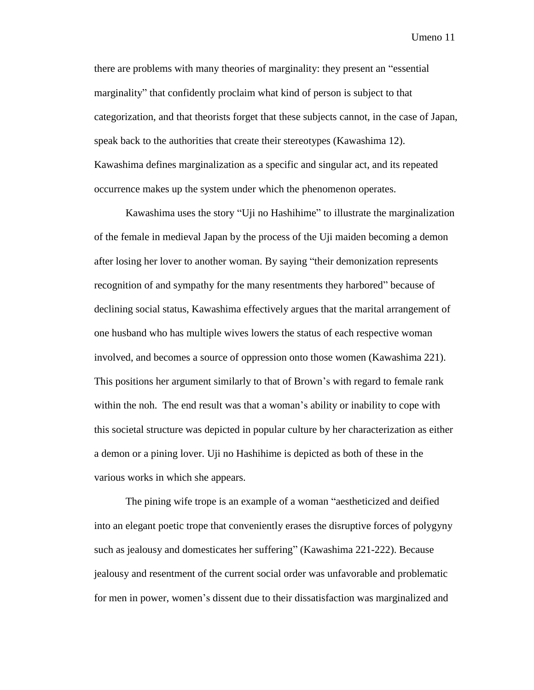there are problems with many theories of marginality: they present an "essential marginality" that confidently proclaim what kind of person is subject to that categorization, and that theorists forget that these subjects cannot, in the case of Japan, speak back to the authorities that create their stereotypes (Kawashima 12). Kawashima defines marginalization as a specific and singular act, and its repeated occurrence makes up the system under which the phenomenon operates.

Kawashima uses the story "Uji no Hashihime" to illustrate the marginalization of the female in medieval Japan by the process of the Uji maiden becoming a demon after losing her lover to another woman. By saying "their demonization represents recognition of and sympathy for the many resentments they harbored" because of declining social status, Kawashima effectively argues that the marital arrangement of one husband who has multiple wives lowers the status of each respective woman involved, and becomes a source of oppression onto those women (Kawashima 221). This positions her argument similarly to that of Brown's with regard to female rank within the noh. The end result was that a woman's ability or inability to cope with this societal structure was depicted in popular culture by her characterization as either a demon or a pining lover. Uji no Hashihime is depicted as both of these in the various works in which she appears.

The pining wife trope is an example of a woman "aestheticized and deified into an elegant poetic trope that conveniently erases the disruptive forces of polygyny such as jealousy and domesticates her suffering" (Kawashima 221-222). Because jealousy and resentment of the current social order was unfavorable and problematic for men in power, women's dissent due to their dissatisfaction was marginalized and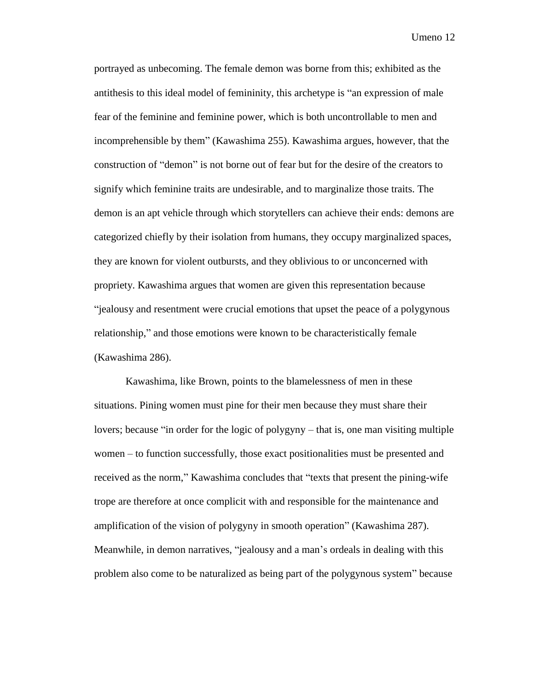portrayed as unbecoming. The female demon was borne from this; exhibited as the antithesis to this ideal model of femininity, this archetype is "an expression of male fear of the feminine and feminine power, which is both uncontrollable to men and incomprehensible by them" (Kawashima 255). Kawashima argues, however, that the construction of "demon" is not borne out of fear but for the desire of the creators to signify which feminine traits are undesirable, and to marginalize those traits. The demon is an apt vehicle through which storytellers can achieve their ends: demons are categorized chiefly by their isolation from humans, they occupy marginalized spaces, they are known for violent outbursts, and they oblivious to or unconcerned with propriety. Kawashima argues that women are given this representation because "jealousy and resentment were crucial emotions that upset the peace of a polygynous relationship," and those emotions were known to be characteristically female (Kawashima 286).

Kawashima, like Brown, points to the blamelessness of men in these situations. Pining women must pine for their men because they must share their lovers; because "in order for the logic of polygyny – that is, one man visiting multiple women – to function successfully, those exact positionalities must be presented and received as the norm," Kawashima concludes that "texts that present the pining-wife trope are therefore at once complicit with and responsible for the maintenance and amplification of the vision of polygyny in smooth operation" (Kawashima 287). Meanwhile, in demon narratives, "jealousy and a man's ordeals in dealing with this problem also come to be naturalized as being part of the polygynous system" because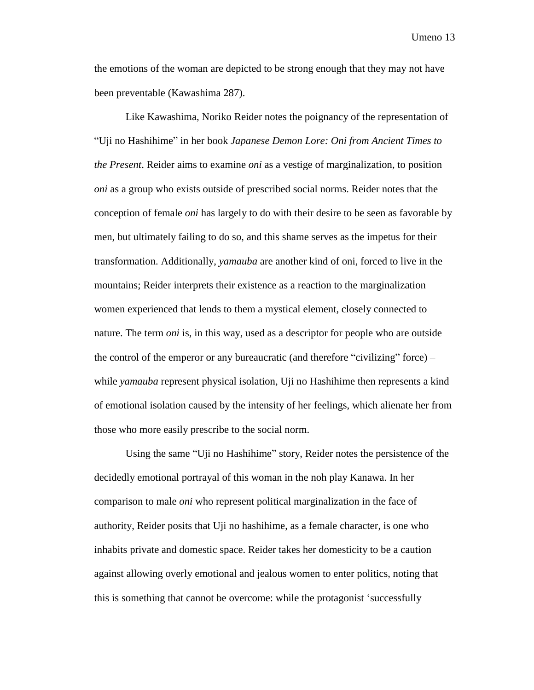the emotions of the woman are depicted to be strong enough that they may not have been preventable (Kawashima 287).

Like Kawashima, Noriko Reider notes the poignancy of the representation of "Uji no Hashihime" in her book *Japanese Demon Lore: Oni from Ancient Times to the Present*. Reider aims to examine *oni* as a vestige of marginalization, to position *oni* as a group who exists outside of prescribed social norms. Reider notes that the conception of female *oni* has largely to do with their desire to be seen as favorable by men, but ultimately failing to do so, and this shame serves as the impetus for their transformation. Additionally, *yamauba* are another kind of oni, forced to live in the mountains; Reider interprets their existence as a reaction to the marginalization women experienced that lends to them a mystical element, closely connected to nature. The term *oni* is, in this way, used as a descriptor for people who are outside the control of the emperor or any bureaucratic (and therefore "civilizing" force) – while *yamauba* represent physical isolation, Uji no Hashihime then represents a kind of emotional isolation caused by the intensity of her feelings, which alienate her from those who more easily prescribe to the social norm.

Using the same "Uji no Hashihime" story, Reider notes the persistence of the decidedly emotional portrayal of this woman in the noh play Kanawa. In her comparison to male *oni* who represent political marginalization in the face of authority, Reider posits that Uji no hashihime, as a female character, is one who inhabits private and domestic space. Reider takes her domesticity to be a caution against allowing overly emotional and jealous women to enter politics, noting that this is something that cannot be overcome: while the protagonist 'successfully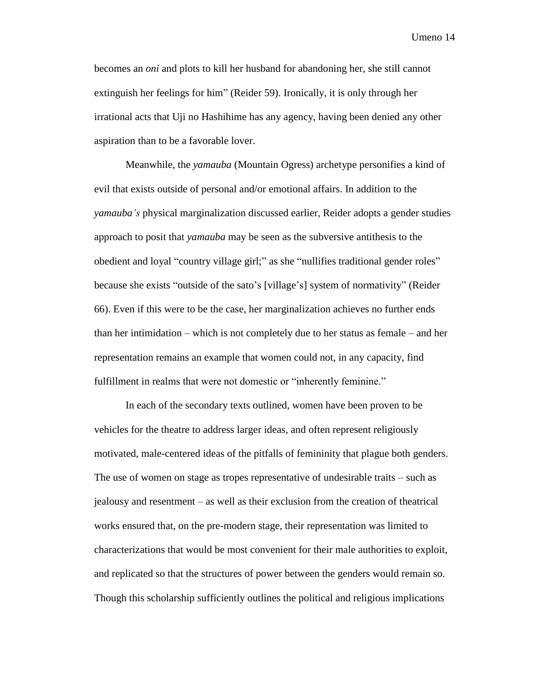becomes an *oni* and plots to kill her husband for abandoning her, she still cannot extinguish her feelings for him" (Reider 59). Ironically, it is only through her irrational acts that Uji no Hashihime has any agency, having been denied any other aspiration than to be a favorable lover.

Meanwhile, the *yamauba* (Mountain Ogress) archetype personifies a kind of evil that exists outside of personal and/or emotional affairs. In addition to the *yamauba's* physical marginalization discussed earlier, Reider adopts a gender studies approach to posit that *yamauba* may be seen as the subversive antithesis to the obedient and loyal "country village girl;" as she "nullifies traditional gender roles" because she exists "outside of the sato's [village's] system of normativity" (Reider 66). Even if this were to be the case, her marginalization achieves no further ends than her intimidation – which is not completely due to her status as female – and her representation remains an example that women could not, in any capacity, find fulfillment in realms that were not domestic or "inherently feminine."

In each of the secondary texts outlined, women have been proven to be vehicles for the theatre to address larger ideas, and often represent religiously motivated, male-centered ideas of the pitfalls of femininity that plague both genders. The use of women on stage as tropes representative of undesirable traits – such as jealousy and resentment – as well as their exclusion from the creation of theatrical works ensured that, on the pre-modern stage, their representation was limited to characterizations that would be most convenient for their male authorities to exploit, and replicated so that the structures of power between the genders would remain so. Though this scholarship sufficiently outlines the political and religious implications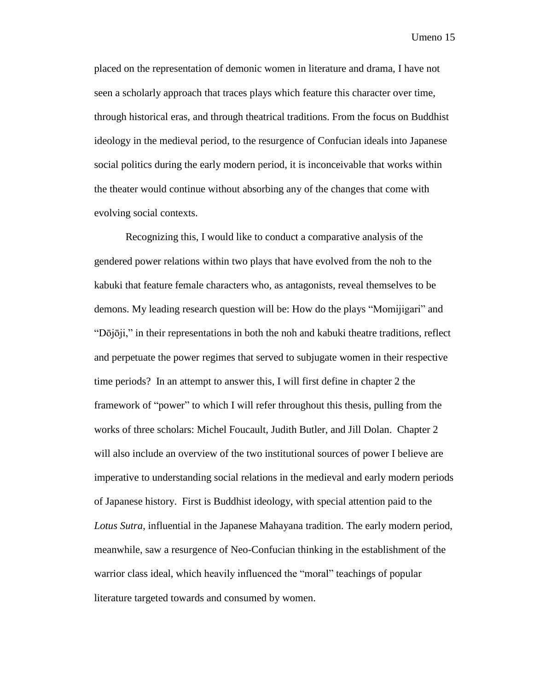placed on the representation of demonic women in literature and drama, I have not seen a scholarly approach that traces plays which feature this character over time, through historical eras, and through theatrical traditions. From the focus on Buddhist ideology in the medieval period, to the resurgence of Confucian ideals into Japanese social politics during the early modern period, it is inconceivable that works within the theater would continue without absorbing any of the changes that come with evolving social contexts.

Recognizing this, I would like to conduct a comparative analysis of the gendered power relations within two plays that have evolved from the noh to the kabuki that feature female characters who, as antagonists, reveal themselves to be demons. My leading research question will be: How do the plays "Momijigari" and "Dōjōji," in their representations in both the noh and kabuki theatre traditions, reflect and perpetuate the power regimes that served to subjugate women in their respective time periods? In an attempt to answer this, I will first define in chapter 2 the framework of "power" to which I will refer throughout this thesis, pulling from the works of three scholars: Michel Foucault, Judith Butler, and Jill Dolan. Chapter 2 will also include an overview of the two institutional sources of power I believe are imperative to understanding social relations in the medieval and early modern periods of Japanese history. First is Buddhist ideology, with special attention paid to the *Lotus Sutra*, influential in the Japanese Mahayana tradition. The early modern period, meanwhile, saw a resurgence of Neo-Confucian thinking in the establishment of the warrior class ideal, which heavily influenced the "moral" teachings of popular literature targeted towards and consumed by women.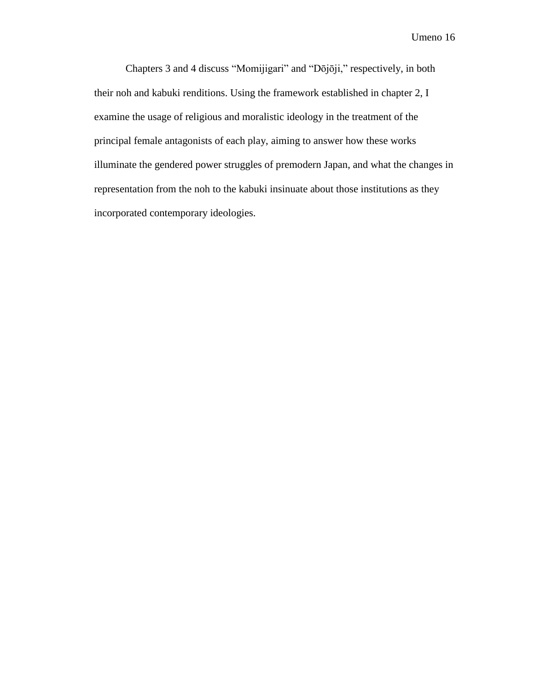Chapters 3 and 4 discuss "Momijigari" and "Dōjōji," respectively, in both their noh and kabuki renditions. Using the framework established in chapter 2, I examine the usage of religious and moralistic ideology in the treatment of the principal female antagonists of each play, aiming to answer how these works illuminate the gendered power struggles of premodern Japan, and what the changes in representation from the noh to the kabuki insinuate about those institutions as they incorporated contemporary ideologies.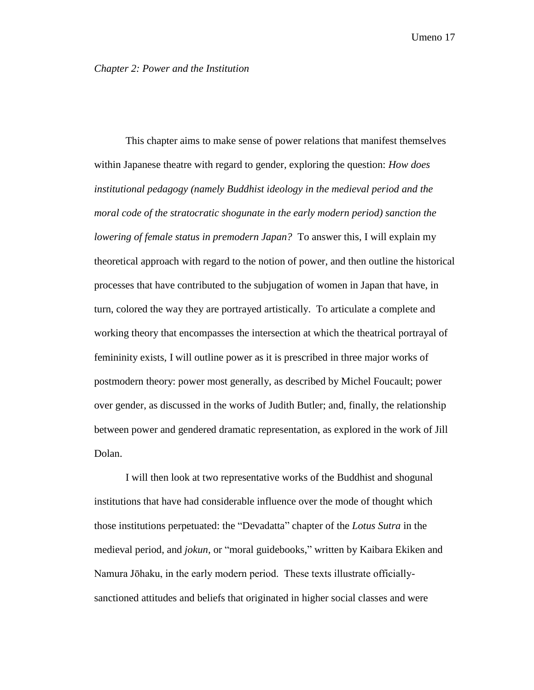<span id="page-17-0"></span>This chapter aims to make sense of power relations that manifest themselves within Japanese theatre with regard to gender, exploring the question: *How does institutional pedagogy (namely Buddhist ideology in the medieval period and the moral code of the stratocratic shogunate in the early modern period) sanction the lowering of female status in premodern Japan?* To answer this, I will explain my theoretical approach with regard to the notion of power, and then outline the historical processes that have contributed to the subjugation of women in Japan that have, in turn, colored the way they are portrayed artistically. To articulate a complete and working theory that encompasses the intersection at which the theatrical portrayal of femininity exists, I will outline power as it is prescribed in three major works of postmodern theory: power most generally, as described by Michel Foucault; power over gender, as discussed in the works of Judith Butler; and, finally, the relationship between power and gendered dramatic representation, as explored in the work of Jill Dolan.

I will then look at two representative works of the Buddhist and shogunal institutions that have had considerable influence over the mode of thought which those institutions perpetuated: the "Devadatta" chapter of the *Lotus Sutra* in the medieval period, and *jokun,* or "moral guidebooks," written by Kaibara Ekiken and Namura Jōhaku, in the early modern period. These texts illustrate officiallysanctioned attitudes and beliefs that originated in higher social classes and were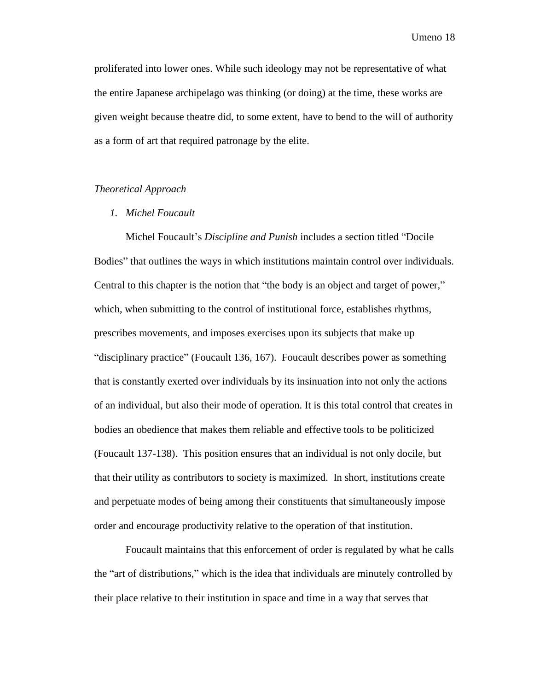proliferated into lower ones. While such ideology may not be representative of what the entire Japanese archipelago was thinking (or doing) at the time, these works are given weight because theatre did, to some extent, have to bend to the will of authority as a form of art that required patronage by the elite.

#### *Theoretical Approach*

#### *1. Michel Foucault*

Michel Foucault's *Discipline and Punish* includes a section titled "Docile Bodies" that outlines the ways in which institutions maintain control over individuals. Central to this chapter is the notion that "the body is an object and target of power," which, when submitting to the control of institutional force, establishes rhythms, prescribes movements, and imposes exercises upon its subjects that make up "disciplinary practice" (Foucault 136, 167). Foucault describes power as something that is constantly exerted over individuals by its insinuation into not only the actions of an individual, but also their mode of operation. It is this total control that creates in bodies an obedience that makes them reliable and effective tools to be politicized (Foucault 137-138). This position ensures that an individual is not only docile, but that their utility as contributors to society is maximized. In short, institutions create and perpetuate modes of being among their constituents that simultaneously impose order and encourage productivity relative to the operation of that institution.

Foucault maintains that this enforcement of order is regulated by what he calls the "art of distributions," which is the idea that individuals are minutely controlled by their place relative to their institution in space and time in a way that serves that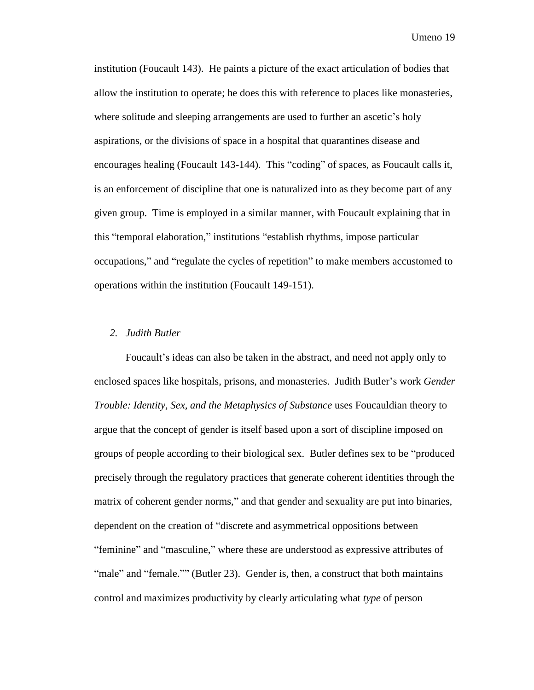institution (Foucault 143). He paints a picture of the exact articulation of bodies that allow the institution to operate; he does this with reference to places like monasteries, where solitude and sleeping arrangements are used to further an ascetic's holy aspirations, or the divisions of space in a hospital that quarantines disease and encourages healing (Foucault 143-144). This "coding" of spaces, as Foucault calls it, is an enforcement of discipline that one is naturalized into as they become part of any given group. Time is employed in a similar manner, with Foucault explaining that in this "temporal elaboration," institutions "establish rhythms, impose particular occupations," and "regulate the cycles of repetition" to make members accustomed to operations within the institution (Foucault 149-151).

#### *2. Judith Butler*

Foucault's ideas can also be taken in the abstract, and need not apply only to enclosed spaces like hospitals, prisons, and monasteries. Judith Butler's work *Gender Trouble: Identity, Sex, and the Metaphysics of Substance* uses Foucauldian theory to argue that the concept of gender is itself based upon a sort of discipline imposed on groups of people according to their biological sex. Butler defines sex to be "produced precisely through the regulatory practices that generate coherent identities through the matrix of coherent gender norms," and that gender and sexuality are put into binaries, dependent on the creation of "discrete and asymmetrical oppositions between "feminine" and "masculine," where these are understood as expressive attributes of "male" and "female."" (Butler 23). Gender is, then, a construct that both maintains control and maximizes productivity by clearly articulating what *type* of person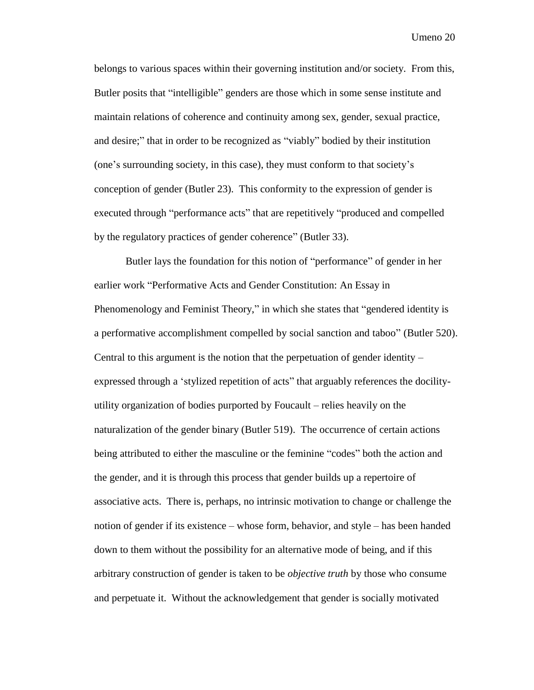belongs to various spaces within their governing institution and/or society. From this, Butler posits that "intelligible" genders are those which in some sense institute and maintain relations of coherence and continuity among sex, gender, sexual practice, and desire;" that in order to be recognized as "viably" bodied by their institution (one's surrounding society, in this case), they must conform to that society's conception of gender (Butler 23). This conformity to the expression of gender is executed through "performance acts" that are repetitively "produced and compelled by the regulatory practices of gender coherence" (Butler 33).

Butler lays the foundation for this notion of "performance" of gender in her earlier work "Performative Acts and Gender Constitution: An Essay in Phenomenology and Feminist Theory," in which she states that "gendered identity is a performative accomplishment compelled by social sanction and taboo" (Butler 520). Central to this argument is the notion that the perpetuation of gender identity – expressed through a 'stylized repetition of acts" that arguably references the docilityutility organization of bodies purported by Foucault – relies heavily on the naturalization of the gender binary (Butler 519). The occurrence of certain actions being attributed to either the masculine or the feminine "codes" both the action and the gender, and it is through this process that gender builds up a repertoire of associative acts. There is, perhaps, no intrinsic motivation to change or challenge the notion of gender if its existence – whose form, behavior, and style – has been handed down to them without the possibility for an alternative mode of being, and if this arbitrary construction of gender is taken to be *objective truth* by those who consume and perpetuate it. Without the acknowledgement that gender is socially motivated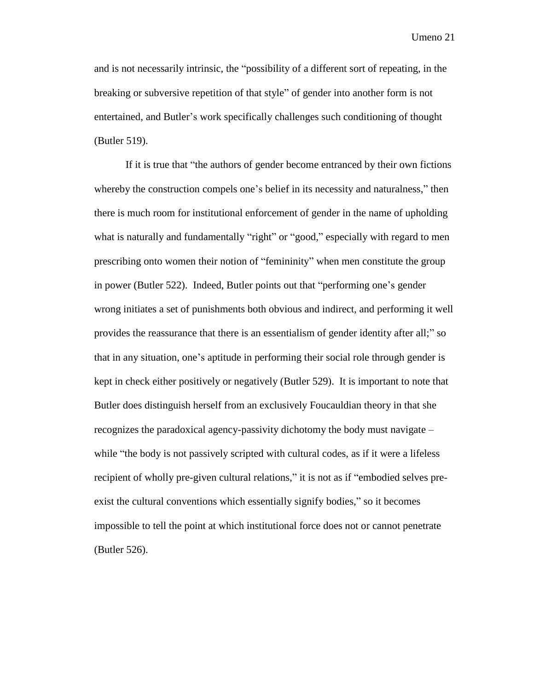and is not necessarily intrinsic, the "possibility of a different sort of repeating, in the breaking or subversive repetition of that style" of gender into another form is not entertained, and Butler's work specifically challenges such conditioning of thought (Butler 519).

If it is true that "the authors of gender become entranced by their own fictions whereby the construction compels one's belief in its necessity and naturalness," then there is much room for institutional enforcement of gender in the name of upholding what is naturally and fundamentally "right" or "good," especially with regard to men prescribing onto women their notion of "femininity" when men constitute the group in power (Butler 522). Indeed, Butler points out that "performing one's gender wrong initiates a set of punishments both obvious and indirect, and performing it well provides the reassurance that there is an essentialism of gender identity after all;" so that in any situation, one's aptitude in performing their social role through gender is kept in check either positively or negatively (Butler 529). It is important to note that Butler does distinguish herself from an exclusively Foucauldian theory in that she recognizes the paradoxical agency-passivity dichotomy the body must navigate – while "the body is not passively scripted with cultural codes, as if it were a lifeless recipient of wholly pre-given cultural relations," it is not as if "embodied selves preexist the cultural conventions which essentially signify bodies," so it becomes impossible to tell the point at which institutional force does not or cannot penetrate (Butler 526).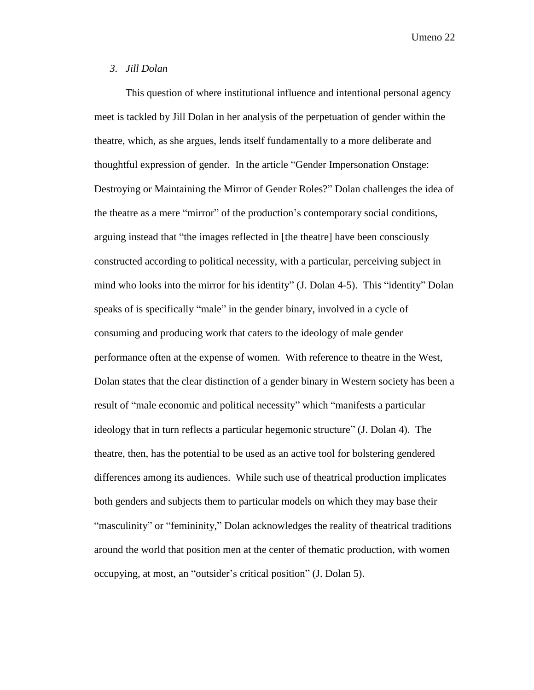#### *3. Jill Dolan*

This question of where institutional influence and intentional personal agency meet is tackled by Jill Dolan in her analysis of the perpetuation of gender within the theatre, which, as she argues, lends itself fundamentally to a more deliberate and thoughtful expression of gender. In the article "Gender Impersonation Onstage: Destroying or Maintaining the Mirror of Gender Roles?" Dolan challenges the idea of the theatre as a mere "mirror" of the production's contemporary social conditions, arguing instead that "the images reflected in [the theatre] have been consciously constructed according to political necessity, with a particular, perceiving subject in mind who looks into the mirror for his identity" (J. Dolan 4-5). This "identity" Dolan speaks of is specifically "male" in the gender binary, involved in a cycle of consuming and producing work that caters to the ideology of male gender performance often at the expense of women. With reference to theatre in the West, Dolan states that the clear distinction of a gender binary in Western society has been a result of "male economic and political necessity" which "manifests a particular ideology that in turn reflects a particular hegemonic structure" (J. Dolan 4). The theatre, then, has the potential to be used as an active tool for bolstering gendered differences among its audiences. While such use of theatrical production implicates both genders and subjects them to particular models on which they may base their "masculinity" or "femininity," Dolan acknowledges the reality of theatrical traditions around the world that position men at the center of thematic production, with women occupying, at most, an "outsider's critical position" (J. Dolan 5).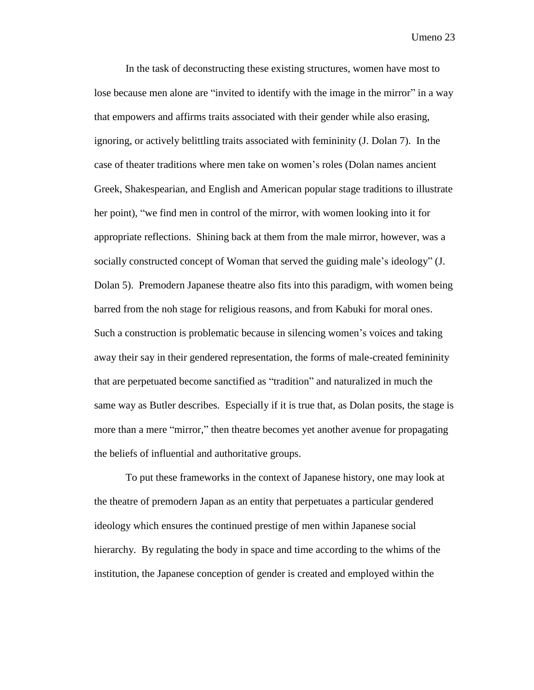In the task of deconstructing these existing structures, women have most to lose because men alone are "invited to identify with the image in the mirror" in a way that empowers and affirms traits associated with their gender while also erasing, ignoring, or actively belittling traits associated with femininity (J. Dolan 7). In the case of theater traditions where men take on women's roles (Dolan names ancient Greek, Shakespearian, and English and American popular stage traditions to illustrate her point), "we find men in control of the mirror, with women looking into it for appropriate reflections. Shining back at them from the male mirror, however, was a socially constructed concept of Woman that served the guiding male's ideology" (J. Dolan 5). Premodern Japanese theatre also fits into this paradigm, with women being barred from the noh stage for religious reasons, and from Kabuki for moral ones. Such a construction is problematic because in silencing women's voices and taking away their say in their gendered representation, the forms of male-created femininity that are perpetuated become sanctified as "tradition" and naturalized in much the same way as Butler describes. Especially if it is true that, as Dolan posits, the stage is more than a mere "mirror," then theatre becomes yet another avenue for propagating the beliefs of influential and authoritative groups.

To put these frameworks in the context of Japanese history, one may look at the theatre of premodern Japan as an entity that perpetuates a particular gendered ideology which ensures the continued prestige of men within Japanese social hierarchy. By regulating the body in space and time according to the whims of the institution, the Japanese conception of gender is created and employed within the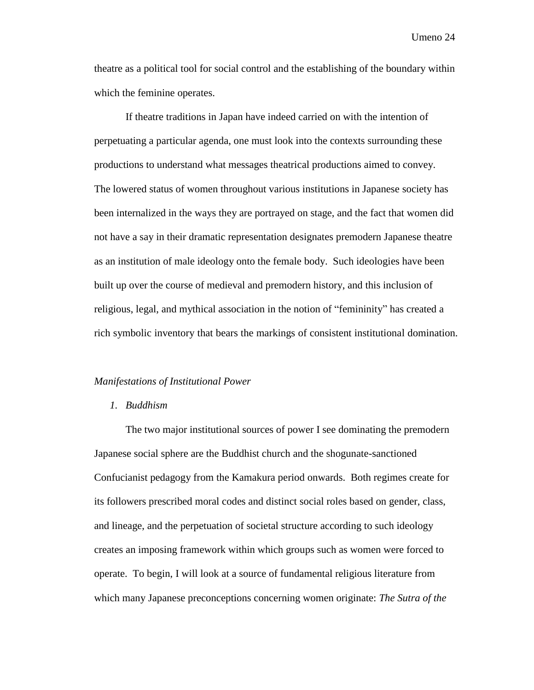theatre as a political tool for social control and the establishing of the boundary within which the feminine operates.

If theatre traditions in Japan have indeed carried on with the intention of perpetuating a particular agenda, one must look into the contexts surrounding these productions to understand what messages theatrical productions aimed to convey. The lowered status of women throughout various institutions in Japanese society has been internalized in the ways they are portrayed on stage, and the fact that women did not have a say in their dramatic representation designates premodern Japanese theatre as an institution of male ideology onto the female body. Such ideologies have been built up over the course of medieval and premodern history, and this inclusion of religious, legal, and mythical association in the notion of "femininity" has created a rich symbolic inventory that bears the markings of consistent institutional domination.

#### *Manifestations of Institutional Power*

#### *1. Buddhism*

The two major institutional sources of power I see dominating the premodern Japanese social sphere are the Buddhist church and the shogunate-sanctioned Confucianist pedagogy from the Kamakura period onwards. Both regimes create for its followers prescribed moral codes and distinct social roles based on gender, class, and lineage, and the perpetuation of societal structure according to such ideology creates an imposing framework within which groups such as women were forced to operate. To begin, I will look at a source of fundamental religious literature from which many Japanese preconceptions concerning women originate: *The Sutra of the*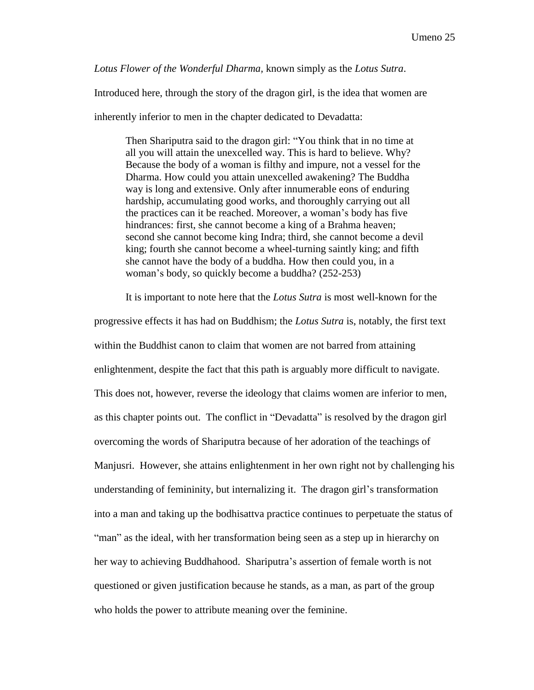*Lotus Flower of the Wonderful Dharma,* known simply as the *Lotus Sutra*.

Introduced here, through the story of the dragon girl, is the idea that women are

inherently inferior to men in the chapter dedicated to Devadatta:

Then Shariputra said to the dragon girl: "You think that in no time at all you will attain the unexcelled way. This is hard to believe. Why? Because the body of a woman is filthy and impure, not a vessel for the Dharma. How could you attain unexcelled awakening? The Buddha way is long and extensive. Only after innumerable eons of enduring hardship, accumulating good works, and thoroughly carrying out all the practices can it be reached. Moreover, a woman's body has five hindrances: first, she cannot become a king of a Brahma heaven; second she cannot become king Indra; third, she cannot become a devil king; fourth she cannot become a wheel-turning saintly king; and fifth she cannot have the body of a buddha. How then could you, in a woman's body, so quickly become a buddha? (252-253)

It is important to note here that the *Lotus Sutra* is most well-known for the

progressive effects it has had on Buddhism; the *Lotus Sutra* is, notably, the first text within the Buddhist canon to claim that women are not barred from attaining enlightenment, despite the fact that this path is arguably more difficult to navigate. This does not, however, reverse the ideology that claims women are inferior to men, as this chapter points out. The conflict in "Devadatta" is resolved by the dragon girl overcoming the words of Shariputra because of her adoration of the teachings of Manjusri. However, she attains enlightenment in her own right not by challenging his understanding of femininity, but internalizing it. The dragon girl's transformation into a man and taking up the bodhisattva practice continues to perpetuate the status of "man" as the ideal, with her transformation being seen as a step up in hierarchy on her way to achieving Buddhahood. Shariputra's assertion of female worth is not questioned or given justification because he stands, as a man, as part of the group who holds the power to attribute meaning over the feminine.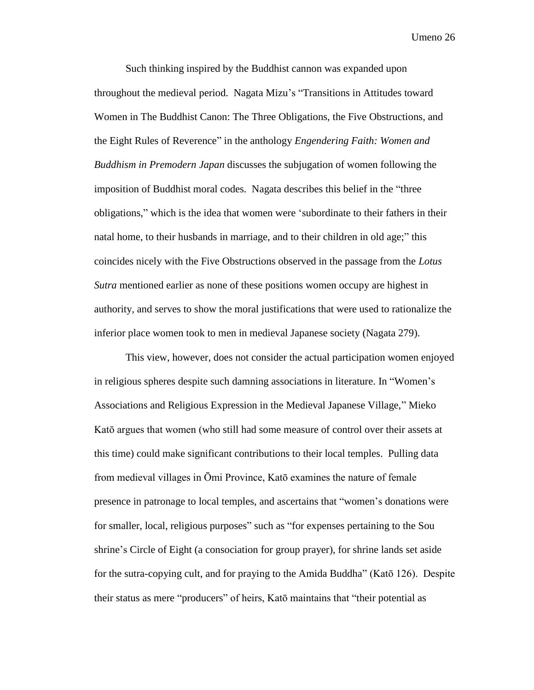Such thinking inspired by the Buddhist cannon was expanded upon throughout the medieval period. Nagata Mizu's "Transitions in Attitudes toward Women in The Buddhist Canon: The Three Obligations, the Five Obstructions, and the Eight Rules of Reverence" in the anthology *Engendering Faith: Women and Buddhism in Premodern Japan* discusses the subjugation of women following the imposition of Buddhist moral codes. Nagata describes this belief in the "three obligations," which is the idea that women were 'subordinate to their fathers in their natal home, to their husbands in marriage, and to their children in old age;" this coincides nicely with the Five Obstructions observed in the passage from the *Lotus Sutra* mentioned earlier as none of these positions women occupy are highest in authority, and serves to show the moral justifications that were used to rationalize the inferior place women took to men in medieval Japanese society (Nagata 279).

This view, however, does not consider the actual participation women enjoyed in religious spheres despite such damning associations in literature. In "Women's Associations and Religious Expression in the Medieval Japanese Village," Mieko Katō argues that women (who still had some measure of control over their assets at this time) could make significant contributions to their local temples. Pulling data from medieval villages in Ōmi Province, Katō examines the nature of female presence in patronage to local temples, and ascertains that "women's donations were for smaller, local, religious purposes" such as "for expenses pertaining to the Sou shrine's Circle of Eight (a consociation for group prayer), for shrine lands set aside for the sutra-copying cult, and for praying to the Amida Buddha" (Katō 126). Despite their status as mere "producers" of heirs, Katō maintains that "their potential as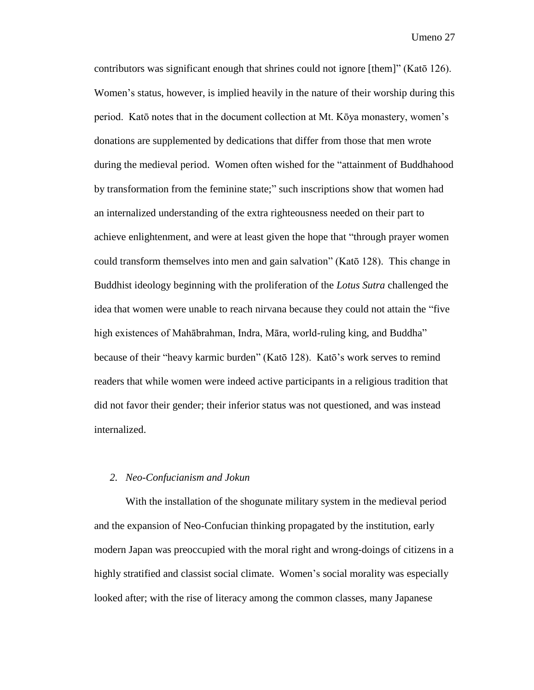contributors was significant enough that shrines could not ignore [them]" (Katō 126). Women's status, however, is implied heavily in the nature of their worship during this period. Katō notes that in the document collection at Mt. Kōya monastery, women's donations are supplemented by dedications that differ from those that men wrote during the medieval period. Women often wished for the "attainment of Buddhahood by transformation from the feminine state;" such inscriptions show that women had an internalized understanding of the extra righteousness needed on their part to achieve enlightenment, and were at least given the hope that "through prayer women could transform themselves into men and gain salvation" (Katō 128). This change in Buddhist ideology beginning with the proliferation of the *Lotus Sutra* challenged the idea that women were unable to reach nirvana because they could not attain the "five high existences of Mahābrahman, Indra, Māra, world-ruling king, and Buddha" because of their "heavy karmic burden" (Katō 128). Katō's work serves to remind readers that while women were indeed active participants in a religious tradition that did not favor their gender; their inferior status was not questioned, and was instead internalized.

#### *2. Neo-Confucianism and Jokun*

With the installation of the shogunate military system in the medieval period and the expansion of Neo-Confucian thinking propagated by the institution, early modern Japan was preoccupied with the moral right and wrong-doings of citizens in a highly stratified and classist social climate. Women's social morality was especially looked after; with the rise of literacy among the common classes, many Japanese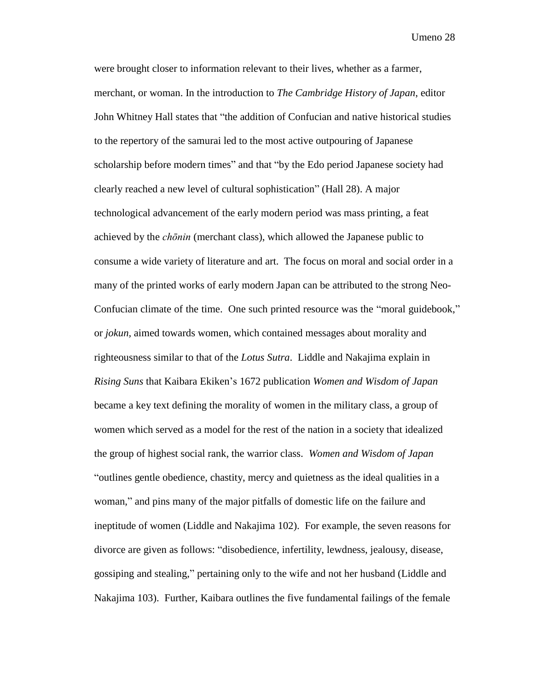were brought closer to information relevant to their lives, whether as a farmer, merchant, or woman. In the introduction to *The Cambridge History of Japan*, editor John Whitney Hall states that "the addition of Confucian and native historical studies to the repertory of the samurai led to the most active outpouring of Japanese scholarship before modern times" and that "by the Edo period Japanese society had clearly reached a new level of cultural sophistication" (Hall 28). A major technological advancement of the early modern period was mass printing, a feat achieved by the *chōnin* (merchant class), which allowed the Japanese public to consume a wide variety of literature and art. The focus on moral and social order in a many of the printed works of early modern Japan can be attributed to the strong Neo-Confucian climate of the time. One such printed resource was the "moral guidebook," or *jokun,* aimed towards women, which contained messages about morality and righteousness similar to that of the *Lotus Sutra*. Liddle and Nakajima explain in *Rising Suns* that Kaibara Ekiken's 1672 publication *Women and Wisdom of Japan* became a key text defining the morality of women in the military class, a group of women which served as a model for the rest of the nation in a society that idealized the group of highest social rank, the warrior class. *Women and Wisdom of Japan* "outlines gentle obedience, chastity, mercy and quietness as the ideal qualities in a woman," and pins many of the major pitfalls of domestic life on the failure and ineptitude of women (Liddle and Nakajima 102). For example, the seven reasons for divorce are given as follows: "disobedience, infertility, lewdness, jealousy, disease, gossiping and stealing," pertaining only to the wife and not her husband (Liddle and Nakajima 103). Further, Kaibara outlines the five fundamental failings of the female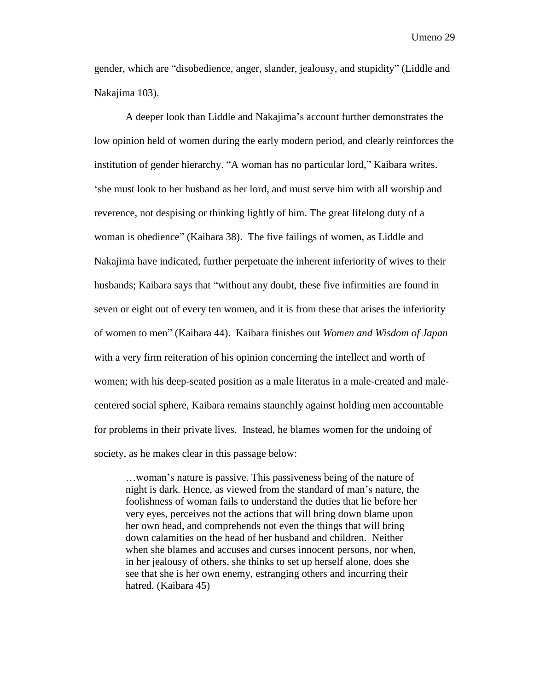gender, which are "disobedience, anger, slander, jealousy, and stupidity" (Liddle and Nakajima 103).

A deeper look than Liddle and Nakajima's account further demonstrates the low opinion held of women during the early modern period, and clearly reinforces the institution of gender hierarchy. "A woman has no particular lord," Kaibara writes. 'she must look to her husband as her lord, and must serve him with all worship and reverence, not despising or thinking lightly of him. The great lifelong duty of a woman is obedience" (Kaibara 38). The five failings of women, as Liddle and Nakajima have indicated, further perpetuate the inherent inferiority of wives to their husbands; Kaibara says that "without any doubt, these five infirmities are found in seven or eight out of every ten women, and it is from these that arises the inferiority of women to men" (Kaibara 44). Kaibara finishes out *Women and Wisdom of Japan* with a very firm reiteration of his opinion concerning the intellect and worth of women; with his deep-seated position as a male literatus in a male-created and malecentered social sphere, Kaibara remains staunchly against holding men accountable for problems in their private lives. Instead, he blames women for the undoing of society, as he makes clear in this passage below:

…woman's nature is passive. This passiveness being of the nature of night is dark. Hence, as viewed from the standard of man's nature, the foolishness of woman fails to understand the duties that lie before her very eyes, perceives not the actions that will bring down blame upon her own head, and comprehends not even the things that will bring down calamities on the head of her husband and children. Neither when she blames and accuses and curses innocent persons, nor when, in her jealousy of others, she thinks to set up herself alone, does she see that she is her own enemy, estranging others and incurring their hatred. (Kaibara 45)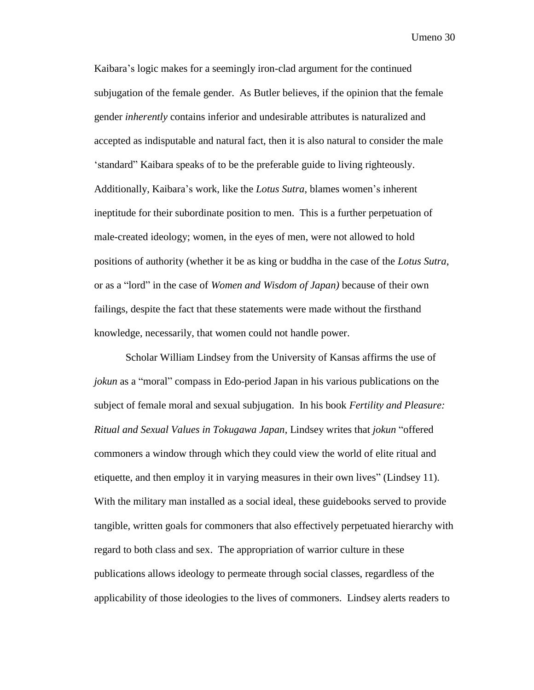Kaibara's logic makes for a seemingly iron-clad argument for the continued subjugation of the female gender. As Butler believes, if the opinion that the female gender *inherently* contains inferior and undesirable attributes is naturalized and accepted as indisputable and natural fact, then it is also natural to consider the male 'standard" Kaibara speaks of to be the preferable guide to living righteously. Additionally, Kaibara's work, like the *Lotus Sutra*, blames women's inherent ineptitude for their subordinate position to men. This is a further perpetuation of male-created ideology; women, in the eyes of men, were not allowed to hold positions of authority (whether it be as king or buddha in the case of the *Lotus Sutra*, or as a "lord" in the case of *Women and Wisdom of Japan)* because of their own failings, despite the fact that these statements were made without the firsthand knowledge, necessarily, that women could not handle power.

Scholar William Lindsey from the University of Kansas affirms the use of *jokun* as a "moral" compass in Edo-period Japan in his various publications on the subject of female moral and sexual subjugation. In his book *Fertility and Pleasure: Ritual and Sexual Values in Tokugawa Japan*, Lindsey writes that *jokun* "offered commoners a window through which they could view the world of elite ritual and etiquette, and then employ it in varying measures in their own lives" (Lindsey 11). With the military man installed as a social ideal, these guidebooks served to provide tangible, written goals for commoners that also effectively perpetuated hierarchy with regard to both class and sex. The appropriation of warrior culture in these publications allows ideology to permeate through social classes, regardless of the applicability of those ideologies to the lives of commoners. Lindsey alerts readers to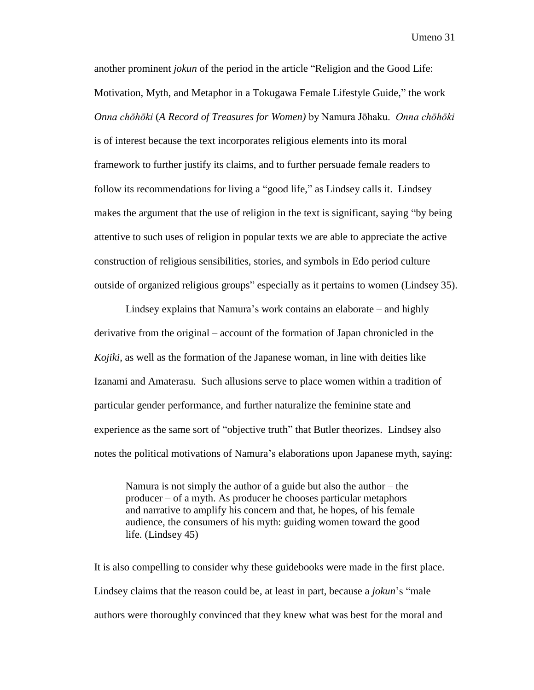another prominent *jokun* of the period in the article "Religion and the Good Life: Motivation, Myth, and Metaphor in a Tokugawa Female Lifestyle Guide," the work *Onna chōhōki* (*A Record of Treasures for Women)* by Namura Jōhaku. *Onna chōhōki* is of interest because the text incorporates religious elements into its moral framework to further justify its claims, and to further persuade female readers to follow its recommendations for living a "good life," as Lindsey calls it. Lindsey makes the argument that the use of religion in the text is significant, saying "by being attentive to such uses of religion in popular texts we are able to appreciate the active construction of religious sensibilities, stories, and symbols in Edo period culture outside of organized religious groups" especially as it pertains to women (Lindsey 35).

Lindsey explains that Namura's work contains an elaborate – and highly derivative from the original – account of the formation of Japan chronicled in the *Kojiki*, as well as the formation of the Japanese woman, in line with deities like Izanami and Amaterasu. Such allusions serve to place women within a tradition of particular gender performance, and further naturalize the feminine state and experience as the same sort of "objective truth" that Butler theorizes. Lindsey also notes the political motivations of Namura's elaborations upon Japanese myth, saying:

Namura is not simply the author of a guide but also the author – the producer – of a myth. As producer he chooses particular metaphors and narrative to amplify his concern and that, he hopes, of his female audience, the consumers of his myth: guiding women toward the good life. (Lindsey 45)

It is also compelling to consider why these guidebooks were made in the first place. Lindsey claims that the reason could be, at least in part, because a *jokun*'s "male authors were thoroughly convinced that they knew what was best for the moral and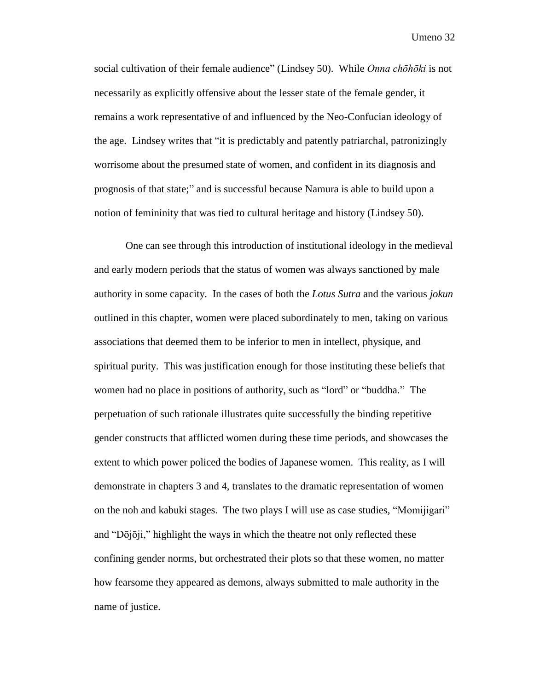social cultivation of their female audience" (Lindsey 50). While *Onna chōhōki* is not necessarily as explicitly offensive about the lesser state of the female gender, it remains a work representative of and influenced by the Neo-Confucian ideology of the age. Lindsey writes that "it is predictably and patently patriarchal, patronizingly worrisome about the presumed state of women, and confident in its diagnosis and prognosis of that state;" and is successful because Namura is able to build upon a notion of femininity that was tied to cultural heritage and history (Lindsey 50).

One can see through this introduction of institutional ideology in the medieval and early modern periods that the status of women was always sanctioned by male authority in some capacity. In the cases of both the *Lotus Sutra* and the various *jokun* outlined in this chapter, women were placed subordinately to men, taking on various associations that deemed them to be inferior to men in intellect, physique, and spiritual purity. This was justification enough for those instituting these beliefs that women had no place in positions of authority, such as "lord" or "buddha." The perpetuation of such rationale illustrates quite successfully the binding repetitive gender constructs that afflicted women during these time periods, and showcases the extent to which power policed the bodies of Japanese women. This reality, as I will demonstrate in chapters 3 and 4, translates to the dramatic representation of women on the noh and kabuki stages. The two plays I will use as case studies, "Momijigari" and "Dōjōji," highlight the ways in which the theatre not only reflected these confining gender norms, but orchestrated their plots so that these women, no matter how fearsome they appeared as demons, always submitted to male authority in the name of justice.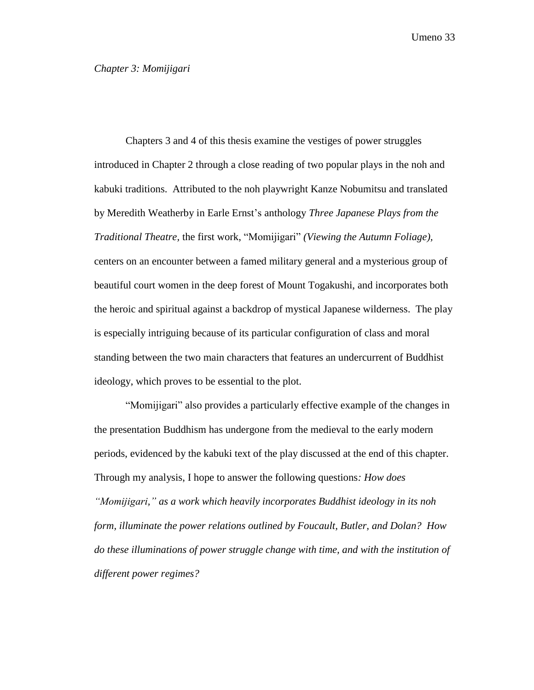<span id="page-33-0"></span>Chapters 3 and 4 of this thesis examine the vestiges of power struggles introduced in Chapter 2 through a close reading of two popular plays in the noh and kabuki traditions. Attributed to the noh playwright Kanze Nobumitsu and translated by Meredith Weatherby in Earle Ernst's anthology *Three Japanese Plays from the Traditional Theatre,* the first work, "Momijigari" *(Viewing the Autumn Foliage),*  centers on an encounter between a famed military general and a mysterious group of beautiful court women in the deep forest of Mount Togakushi, and incorporates both the heroic and spiritual against a backdrop of mystical Japanese wilderness. The play is especially intriguing because of its particular configuration of class and moral standing between the two main characters that features an undercurrent of Buddhist ideology, which proves to be essential to the plot.

"Momijigari" also provides a particularly effective example of the changes in the presentation Buddhism has undergone from the medieval to the early modern periods, evidenced by the kabuki text of the play discussed at the end of this chapter. Through my analysis, I hope to answer the following questions*: How does "Momijigari," as a work which heavily incorporates Buddhist ideology in its noh form, illuminate the power relations outlined by Foucault, Butler, and Dolan? How do these illuminations of power struggle change with time, and with the institution of different power regimes?*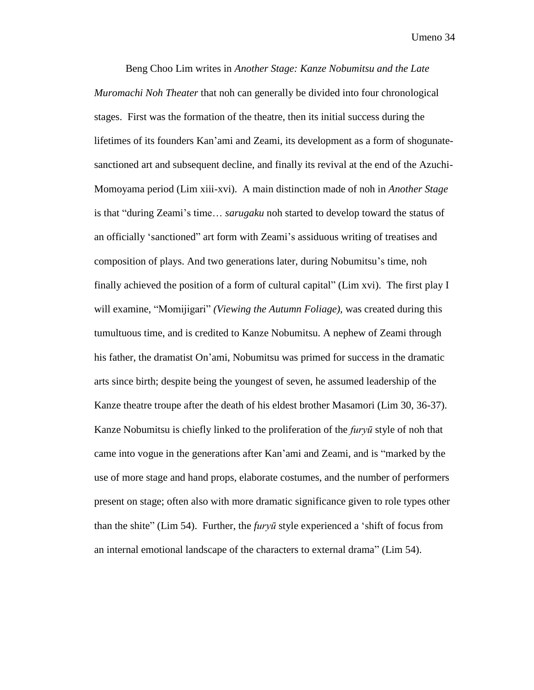Beng Choo Lim writes in *Another Stage: Kanze Nobumitsu and the Late Muromachi Noh Theater* that noh can generally be divided into four chronological stages. First was the formation of the theatre, then its initial success during the lifetimes of its founders Kan'ami and Zeami, its development as a form of shogunatesanctioned art and subsequent decline, and finally its revival at the end of the Azuchi-Momoyama period (Lim xiii-xvi). A main distinction made of noh in *Another Stage*  is that "during Zeami's time… *sarugaku* noh started to develop toward the status of an officially 'sanctioned" art form with Zeami's assiduous writing of treatises and composition of plays. And two generations later, during Nobumitsu's time, noh finally achieved the position of a form of cultural capital" (Lim xvi). The first play I will examine, "Momijigari" *(Viewing the Autumn Foliage),* was created during this tumultuous time, and is credited to Kanze Nobumitsu. A nephew of Zeami through his father, the dramatist On'ami, Nobumitsu was primed for success in the dramatic arts since birth; despite being the youngest of seven, he assumed leadership of the Kanze theatre troupe after the death of his eldest brother Masamori (Lim 30, 36-37). Kanze Nobumitsu is chiefly linked to the proliferation of the *furyū* style of noh that came into vogue in the generations after Kan'ami and Zeami, and is "marked by the use of more stage and hand props, elaborate costumes, and the number of performers present on stage; often also with more dramatic significance given to role types other than the shite" (Lim 54). Further, the *furyū* style experienced a 'shift of focus from an internal emotional landscape of the characters to external drama" (Lim 54).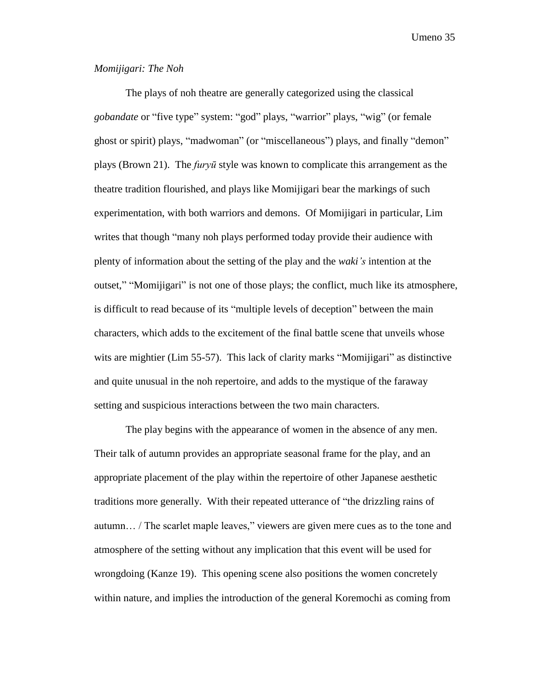#### *Momijigari: The Noh*

The plays of noh theatre are generally categorized using the classical *gobandate* or "five type" system: "god" plays, "warrior" plays, "wig" (or female ghost or spirit) plays, "madwoman" (or "miscellaneous") plays, and finally "demon" plays (Brown 21). The *furyū* style was known to complicate this arrangement as the theatre tradition flourished, and plays like Momijigari bear the markings of such experimentation, with both warriors and demons. Of Momijigari in particular, Lim writes that though "many noh plays performed today provide their audience with plenty of information about the setting of the play and the *waki's* intention at the outset," "Momijigari" is not one of those plays; the conflict, much like its atmosphere, is difficult to read because of its "multiple levels of deception" between the main characters, which adds to the excitement of the final battle scene that unveils whose wits are mightier (Lim 55-57). This lack of clarity marks "Momijigari" as distinctive and quite unusual in the noh repertoire, and adds to the mystique of the faraway setting and suspicious interactions between the two main characters.

The play begins with the appearance of women in the absence of any men. Their talk of autumn provides an appropriate seasonal frame for the play, and an appropriate placement of the play within the repertoire of other Japanese aesthetic traditions more generally. With their repeated utterance of "the drizzling rains of autumn… / The scarlet maple leaves," viewers are given mere cues as to the tone and atmosphere of the setting without any implication that this event will be used for wrongdoing (Kanze 19). This opening scene also positions the women concretely within nature, and implies the introduction of the general Koremochi as coming from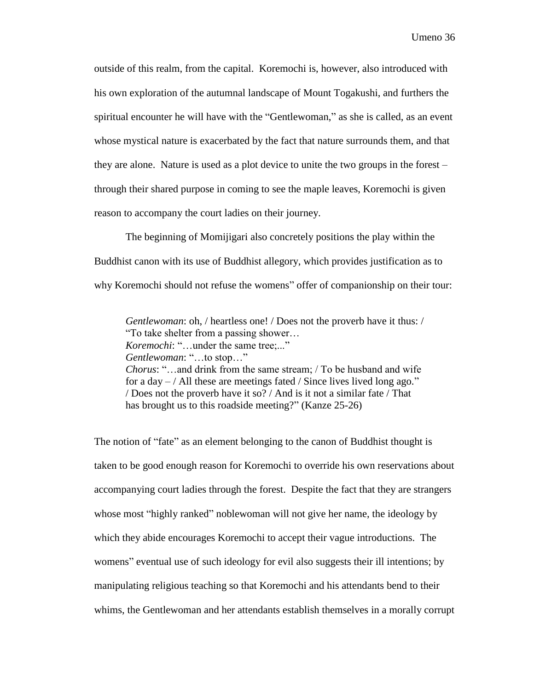outside of this realm, from the capital. Koremochi is, however, also introduced with his own exploration of the autumnal landscape of Mount Togakushi, and furthers the spiritual encounter he will have with the "Gentlewoman," as she is called, as an event whose mystical nature is exacerbated by the fact that nature surrounds them, and that they are alone. Nature is used as a plot device to unite the two groups in the forest – through their shared purpose in coming to see the maple leaves, Koremochi is given reason to accompany the court ladies on their journey.

The beginning of Momijigari also concretely positions the play within the Buddhist canon with its use of Buddhist allegory, which provides justification as to why Koremochi should not refuse the womens" offer of companionship on their tour:

*Gentlewoman*: oh, / heartless one! / Does not the proverb have it thus: / "To take shelter from a passing shower… *Koremochi:* "... under the same tree;..." *Gentlewoman*: "…to stop…" *Chorus*: "…and drink from the same stream; / To be husband and wife for a day  $-$  / All these are meetings fated / Since lives lived long ago." / Does not the proverb have it so? / And is it not a similar fate / That has brought us to this roadside meeting?" (Kanze 25-26)

The notion of "fate" as an element belonging to the canon of Buddhist thought is taken to be good enough reason for Koremochi to override his own reservations about accompanying court ladies through the forest. Despite the fact that they are strangers whose most "highly ranked" noblewoman will not give her name, the ideology by which they abide encourages Koremochi to accept their vague introductions. The womens" eventual use of such ideology for evil also suggests their ill intentions; by manipulating religious teaching so that Koremochi and his attendants bend to their whims, the Gentlewoman and her attendants establish themselves in a morally corrupt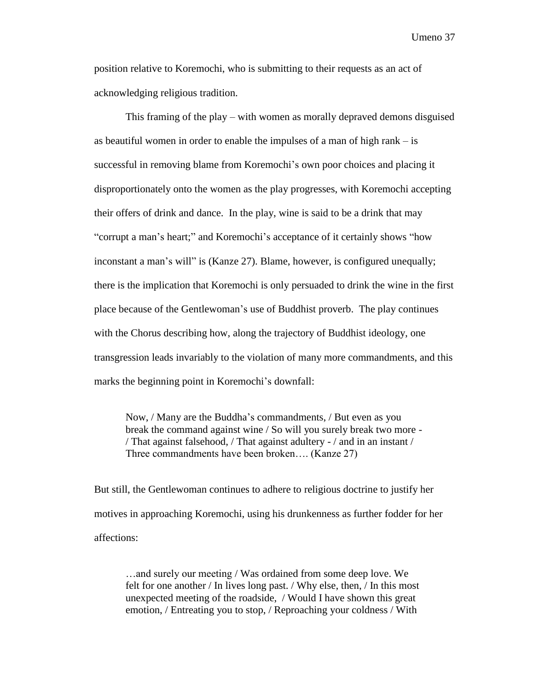position relative to Koremochi, who is submitting to their requests as an act of acknowledging religious tradition.

This framing of the play – with women as morally depraved demons disguised as beautiful women in order to enable the impulses of a man of high rank – is successful in removing blame from Koremochi's own poor choices and placing it disproportionately onto the women as the play progresses, with Koremochi accepting their offers of drink and dance. In the play, wine is said to be a drink that may "corrupt a man's heart;" and Koremochi's acceptance of it certainly shows "how inconstant a man's will" is (Kanze 27). Blame, however, is configured unequally; there is the implication that Koremochi is only persuaded to drink the wine in the first place because of the Gentlewoman's use of Buddhist proverb. The play continues with the Chorus describing how, along the trajectory of Buddhist ideology, one transgression leads invariably to the violation of many more commandments, and this marks the beginning point in Koremochi's downfall:

Now, / Many are the Buddha's commandments, / But even as you break the command against wine / So will you surely break two more - / That against falsehood, / That against adultery - / and in an instant / Three commandments have been broken…. (Kanze 27)

But still, the Gentlewoman continues to adhere to religious doctrine to justify her motives in approaching Koremochi, using his drunkenness as further fodder for her affections:

…and surely our meeting / Was ordained from some deep love. We felt for one another / In lives long past. / Why else, then, / In this most unexpected meeting of the roadside, / Would I have shown this great emotion, / Entreating you to stop, / Reproaching your coldness / With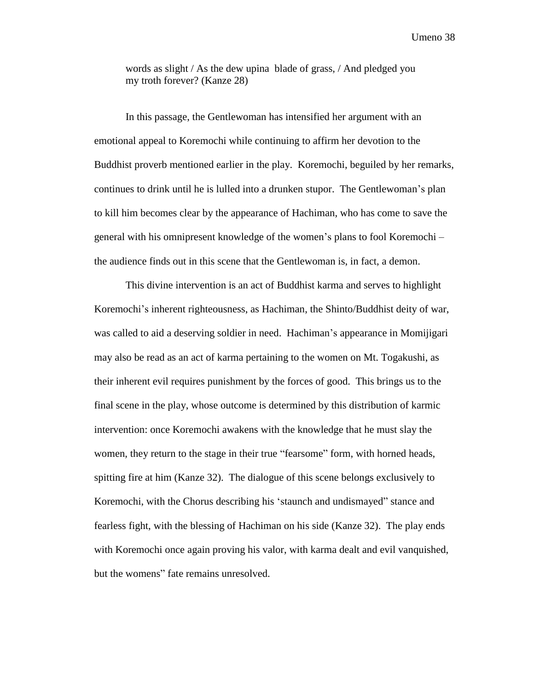words as slight / As the dew upina blade of grass, / And pledged you my troth forever? (Kanze 28)

In this passage, the Gentlewoman has intensified her argument with an emotional appeal to Koremochi while continuing to affirm her devotion to the Buddhist proverb mentioned earlier in the play. Koremochi, beguiled by her remarks, continues to drink until he is lulled into a drunken stupor. The Gentlewoman's plan to kill him becomes clear by the appearance of Hachiman, who has come to save the general with his omnipresent knowledge of the women's plans to fool Koremochi – the audience finds out in this scene that the Gentlewoman is, in fact, a demon.

This divine intervention is an act of Buddhist karma and serves to highlight Koremochi's inherent righteousness, as Hachiman, the Shinto/Buddhist deity of war, was called to aid a deserving soldier in need. Hachiman's appearance in Momijigari may also be read as an act of karma pertaining to the women on Mt. Togakushi, as their inherent evil requires punishment by the forces of good. This brings us to the final scene in the play, whose outcome is determined by this distribution of karmic intervention: once Koremochi awakens with the knowledge that he must slay the women, they return to the stage in their true "fearsome" form, with horned heads, spitting fire at him (Kanze 32). The dialogue of this scene belongs exclusively to Koremochi, with the Chorus describing his 'staunch and undismayed" stance and fearless fight, with the blessing of Hachiman on his side (Kanze 32). The play ends with Koremochi once again proving his valor, with karma dealt and evil vanquished, but the womens" fate remains unresolved.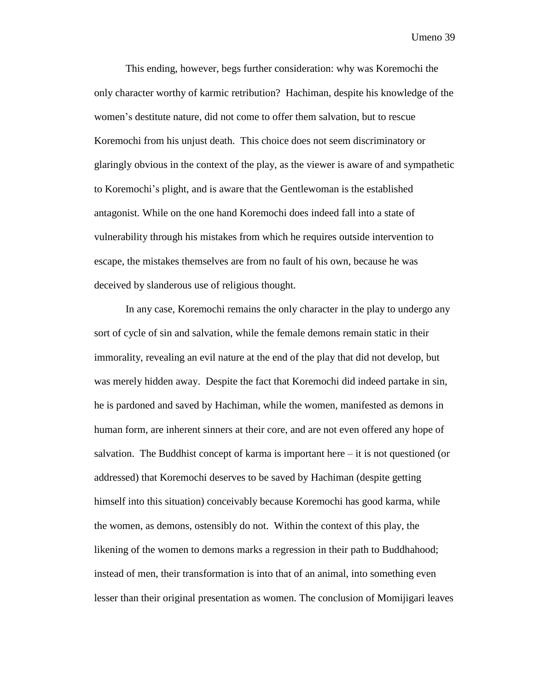This ending, however, begs further consideration: why was Koremochi the only character worthy of karmic retribution? Hachiman, despite his knowledge of the women's destitute nature, did not come to offer them salvation, but to rescue Koremochi from his unjust death. This choice does not seem discriminatory or glaringly obvious in the context of the play, as the viewer is aware of and sympathetic to Koremochi's plight, and is aware that the Gentlewoman is the established antagonist. While on the one hand Koremochi does indeed fall into a state of vulnerability through his mistakes from which he requires outside intervention to escape, the mistakes themselves are from no fault of his own, because he was deceived by slanderous use of religious thought.

In any case, Koremochi remains the only character in the play to undergo any sort of cycle of sin and salvation, while the female demons remain static in their immorality, revealing an evil nature at the end of the play that did not develop, but was merely hidden away. Despite the fact that Koremochi did indeed partake in sin, he is pardoned and saved by Hachiman, while the women, manifested as demons in human form, are inherent sinners at their core, and are not even offered any hope of salvation. The Buddhist concept of karma is important here – it is not questioned (or addressed) that Koremochi deserves to be saved by Hachiman (despite getting himself into this situation) conceivably because Koremochi has good karma, while the women, as demons, ostensibly do not. Within the context of this play, the likening of the women to demons marks a regression in their path to Buddhahood; instead of men, their transformation is into that of an animal, into something even lesser than their original presentation as women. The conclusion of Momijigari leaves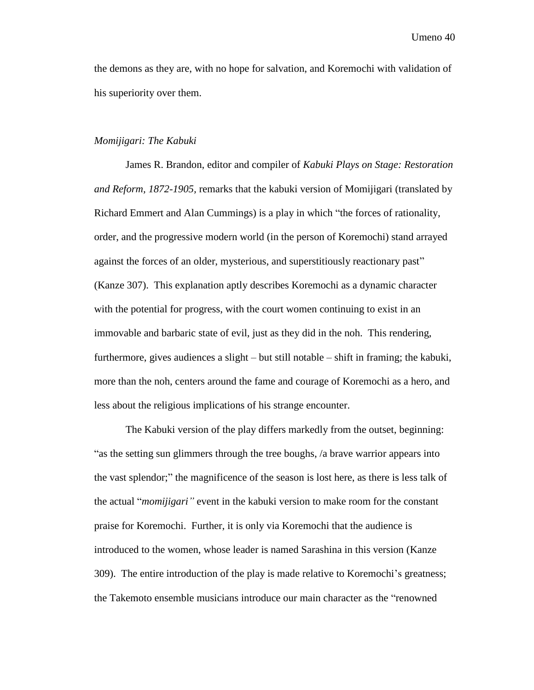the demons as they are, with no hope for salvation, and Koremochi with validation of his superiority over them.

#### *Momijigari: The Kabuki*

James R. Brandon, editor and compiler of *Kabuki Plays on Stage: Restoration and Reform, 1872-1905,* remarks that the kabuki version of Momijigari (translated by Richard Emmert and Alan Cummings) is a play in which "the forces of rationality, order, and the progressive modern world (in the person of Koremochi) stand arrayed against the forces of an older, mysterious, and superstitiously reactionary past" (Kanze 307). This explanation aptly describes Koremochi as a dynamic character with the potential for progress, with the court women continuing to exist in an immovable and barbaric state of evil, just as they did in the noh. This rendering, furthermore, gives audiences a slight – but still notable – shift in framing; the kabuki, more than the noh, centers around the fame and courage of Koremochi as a hero, and less about the religious implications of his strange encounter.

The Kabuki version of the play differs markedly from the outset, beginning: "as the setting sun glimmers through the tree boughs, /a brave warrior appears into the vast splendor;" the magnificence of the season is lost here, as there is less talk of the actual "*momijigari"* event in the kabuki version to make room for the constant praise for Koremochi. Further, it is only via Koremochi that the audience is introduced to the women, whose leader is named Sarashina in this version (Kanze 309). The entire introduction of the play is made relative to Koremochi's greatness; the Takemoto ensemble musicians introduce our main character as the "renowned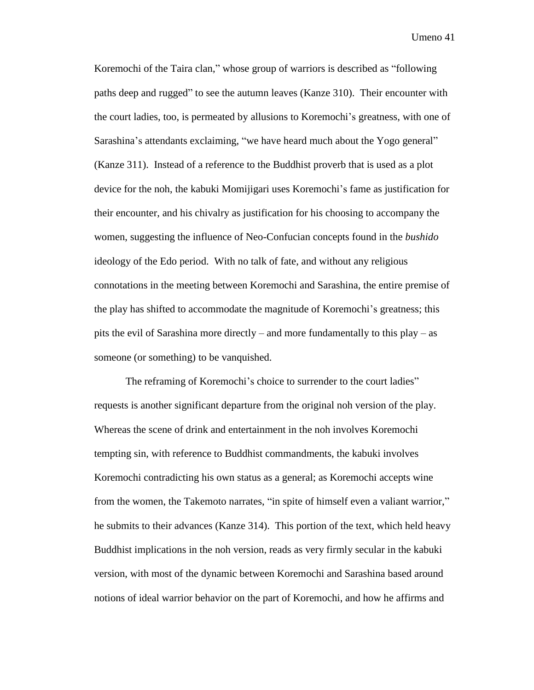Koremochi of the Taira clan," whose group of warriors is described as "following paths deep and rugged" to see the autumn leaves (Kanze 310). Their encounter with the court ladies, too, is permeated by allusions to Koremochi's greatness, with one of Sarashina's attendants exclaiming, "we have heard much about the Yogo general" (Kanze 311). Instead of a reference to the Buddhist proverb that is used as a plot device for the noh, the kabuki Momijigari uses Koremochi's fame as justification for their encounter, and his chivalry as justification for his choosing to accompany the women, suggesting the influence of Neo-Confucian concepts found in the *bushido*  ideology of the Edo period. With no talk of fate, and without any religious connotations in the meeting between Koremochi and Sarashina, the entire premise of the play has shifted to accommodate the magnitude of Koremochi's greatness; this pits the evil of Sarashina more directly – and more fundamentally to this play – as someone (or something) to be vanquished.

The reframing of Koremochi's choice to surrender to the court ladies" requests is another significant departure from the original noh version of the play. Whereas the scene of drink and entertainment in the noh involves Koremochi tempting sin, with reference to Buddhist commandments, the kabuki involves Koremochi contradicting his own status as a general; as Koremochi accepts wine from the women, the Takemoto narrates, "in spite of himself even a valiant warrior," he submits to their advances (Kanze 314). This portion of the text, which held heavy Buddhist implications in the noh version, reads as very firmly secular in the kabuki version, with most of the dynamic between Koremochi and Sarashina based around notions of ideal warrior behavior on the part of Koremochi, and how he affirms and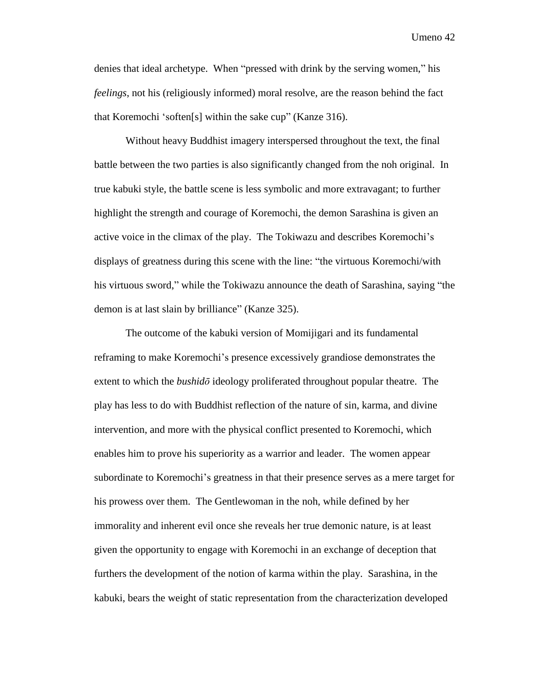denies that ideal archetype. When "pressed with drink by the serving women," his *feelings*, not his (religiously informed) moral resolve, are the reason behind the fact that Koremochi 'soften[s] within the sake cup" (Kanze 316).

Without heavy Buddhist imagery interspersed throughout the text, the final battle between the two parties is also significantly changed from the noh original. In true kabuki style, the battle scene is less symbolic and more extravagant; to further highlight the strength and courage of Koremochi, the demon Sarashina is given an active voice in the climax of the play. The Tokiwazu and describes Koremochi's displays of greatness during this scene with the line: "the virtuous Koremochi/with his virtuous sword," while the Tokiwazu announce the death of Sarashina, saying "the demon is at last slain by brilliance" (Kanze 325).

The outcome of the kabuki version of Momijigari and its fundamental reframing to make Koremochi's presence excessively grandiose demonstrates the extent to which the *bushidō* ideology proliferated throughout popular theatre. The play has less to do with Buddhist reflection of the nature of sin, karma, and divine intervention, and more with the physical conflict presented to Koremochi, which enables him to prove his superiority as a warrior and leader. The women appear subordinate to Koremochi's greatness in that their presence serves as a mere target for his prowess over them. The Gentlewoman in the noh, while defined by her immorality and inherent evil once she reveals her true demonic nature, is at least given the opportunity to engage with Koremochi in an exchange of deception that furthers the development of the notion of karma within the play. Sarashina, in the kabuki, bears the weight of static representation from the characterization developed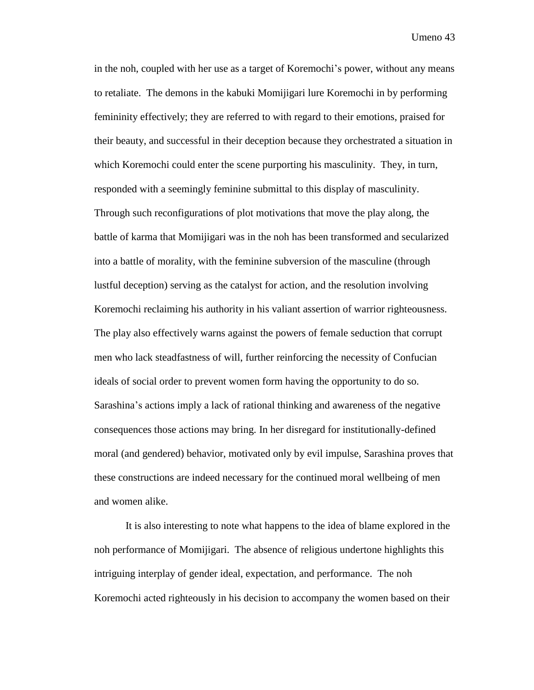in the noh, coupled with her use as a target of Koremochi's power, without any means to retaliate. The demons in the kabuki Momijigari lure Koremochi in by performing femininity effectively; they are referred to with regard to their emotions, praised for their beauty, and successful in their deception because they orchestrated a situation in which Koremochi could enter the scene purporting his masculinity. They, in turn, responded with a seemingly feminine submittal to this display of masculinity. Through such reconfigurations of plot motivations that move the play along, the battle of karma that Momijigari was in the noh has been transformed and secularized into a battle of morality, with the feminine subversion of the masculine (through lustful deception) serving as the catalyst for action, and the resolution involving Koremochi reclaiming his authority in his valiant assertion of warrior righteousness. The play also effectively warns against the powers of female seduction that corrupt men who lack steadfastness of will, further reinforcing the necessity of Confucian ideals of social order to prevent women form having the opportunity to do so. Sarashina's actions imply a lack of rational thinking and awareness of the negative consequences those actions may bring. In her disregard for institutionally-defined moral (and gendered) behavior, motivated only by evil impulse, Sarashina proves that these constructions are indeed necessary for the continued moral wellbeing of men and women alike.

It is also interesting to note what happens to the idea of blame explored in the noh performance of Momijigari. The absence of religious undertone highlights this intriguing interplay of gender ideal, expectation, and performance. The noh Koremochi acted righteously in his decision to accompany the women based on their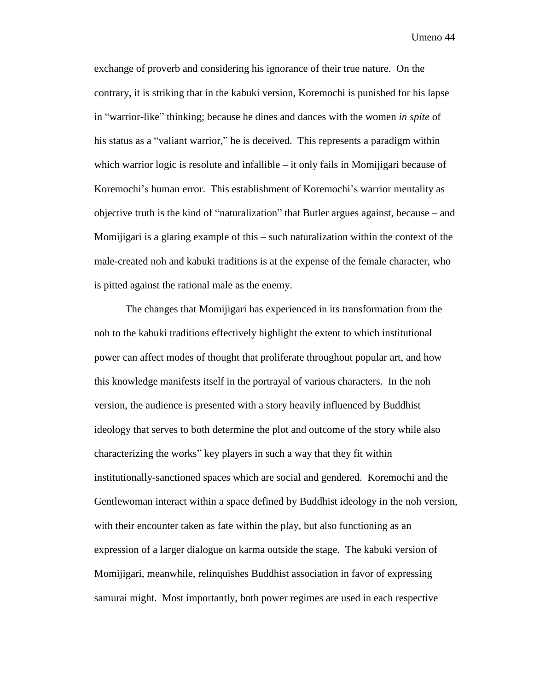exchange of proverb and considering his ignorance of their true nature. On the contrary, it is striking that in the kabuki version, Koremochi is punished for his lapse in "warrior-like" thinking; because he dines and dances with the women *in spite* of his status as a "valiant warrior," he is deceived. This represents a paradigm within which warrior logic is resolute and infallible  $-$  it only fails in Momijigari because of Koremochi's human error. This establishment of Koremochi's warrior mentality as objective truth is the kind of "naturalization" that Butler argues against, because – and Momijigari is a glaring example of this – such naturalization within the context of the male-created noh and kabuki traditions is at the expense of the female character, who is pitted against the rational male as the enemy.

The changes that Momijigari has experienced in its transformation from the noh to the kabuki traditions effectively highlight the extent to which institutional power can affect modes of thought that proliferate throughout popular art, and how this knowledge manifests itself in the portrayal of various characters. In the noh version, the audience is presented with a story heavily influenced by Buddhist ideology that serves to both determine the plot and outcome of the story while also characterizing the works" key players in such a way that they fit within institutionally-sanctioned spaces which are social and gendered. Koremochi and the Gentlewoman interact within a space defined by Buddhist ideology in the noh version, with their encounter taken as fate within the play, but also functioning as an expression of a larger dialogue on karma outside the stage. The kabuki version of Momijigari, meanwhile, relinquishes Buddhist association in favor of expressing samurai might. Most importantly, both power regimes are used in each respective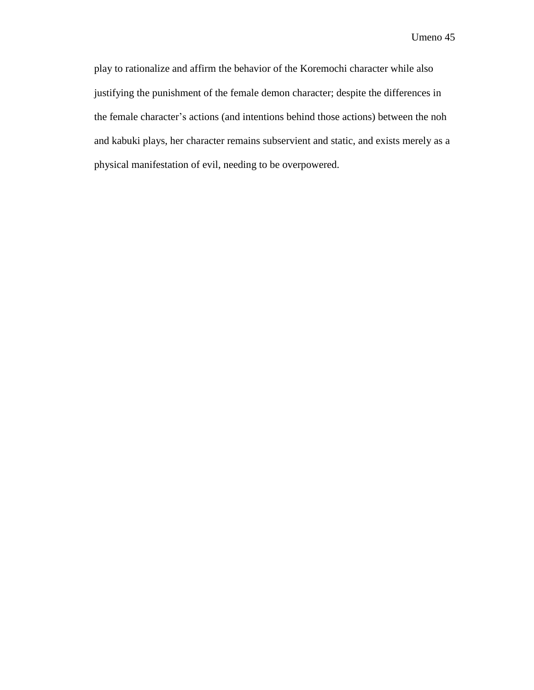play to rationalize and affirm the behavior of the Koremochi character while also justifying the punishment of the female demon character; despite the differences in the female character's actions (and intentions behind those actions) between the noh and kabuki plays, her character remains subservient and static, and exists merely as a physical manifestation of evil, needing to be overpowered.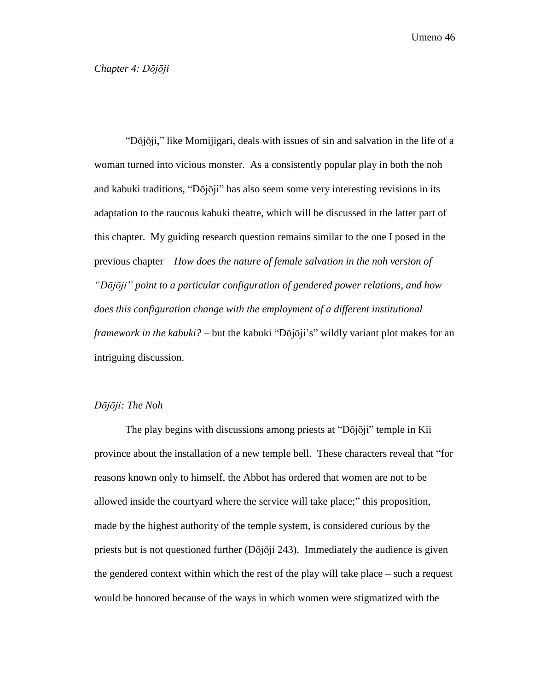<span id="page-46-0"></span>"Dōjōji," like Momijigari, deals with issues of sin and salvation in the life of a woman turned into vicious monster. As a consistently popular play in both the noh and kabuki traditions, "Dōjōji" has also seem some very interesting revisions in its adaptation to the raucous kabuki theatre, which will be discussed in the latter part of this chapter. My guiding research question remains similar to the one I posed in the previous chapter – *How does the nature of female salvation in the noh version of "Dōjōji" point to a particular configuration of gendered power relations, and how does this configuration change with the employment of a different institutional framework in the kabuki?* – but the kabuki "Dōjōji's" wildly variant plot makes for an intriguing discussion.

#### *Dōjōji: The Noh*

The play begins with discussions among priests at "Dōjōji" temple in Kii province about the installation of a new temple bell. These characters reveal that "for reasons known only to himself, the Abbot has ordered that women are not to be allowed inside the courtyard where the service will take place;" this proposition, made by the highest authority of the temple system, is considered curious by the priests but is not questioned further  $(D\bar{o}j\bar{o}j\bar{i} 243)$ . Immediately the audience is given the gendered context within which the rest of the play will take place – such a request would be honored because of the ways in which women were stigmatized with the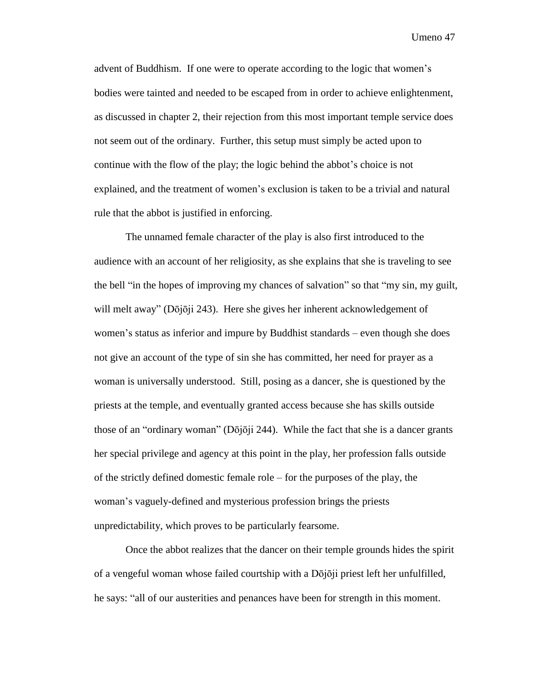advent of Buddhism. If one were to operate according to the logic that women's bodies were tainted and needed to be escaped from in order to achieve enlightenment, as discussed in chapter 2, their rejection from this most important temple service does not seem out of the ordinary. Further, this setup must simply be acted upon to continue with the flow of the play; the logic behind the abbot's choice is not explained, and the treatment of women's exclusion is taken to be a trivial and natural rule that the abbot is justified in enforcing.

The unnamed female character of the play is also first introduced to the audience with an account of her religiosity, as she explains that she is traveling to see the bell "in the hopes of improving my chances of salvation" so that "my sin, my guilt, will melt away" (Dōjōji 243). Here she gives her inherent acknowledgement of women's status as inferior and impure by Buddhist standards – even though she does not give an account of the type of sin she has committed, her need for prayer as a woman is universally understood. Still, posing as a dancer, she is questioned by the priests at the temple, and eventually granted access because she has skills outside those of an "ordinary woman" ( $D\overline{o}$ j $\overline{o}$ ji 244). While the fact that she is a dancer grants her special privilege and agency at this point in the play, her profession falls outside of the strictly defined domestic female role – for the purposes of the play, the woman's vaguely-defined and mysterious profession brings the priests unpredictability, which proves to be particularly fearsome.

Once the abbot realizes that the dancer on their temple grounds hides the spirit of a vengeful woman whose failed courtship with a Dōjōji priest left her unfulfilled, he says: "all of our austerities and penances have been for strength in this moment.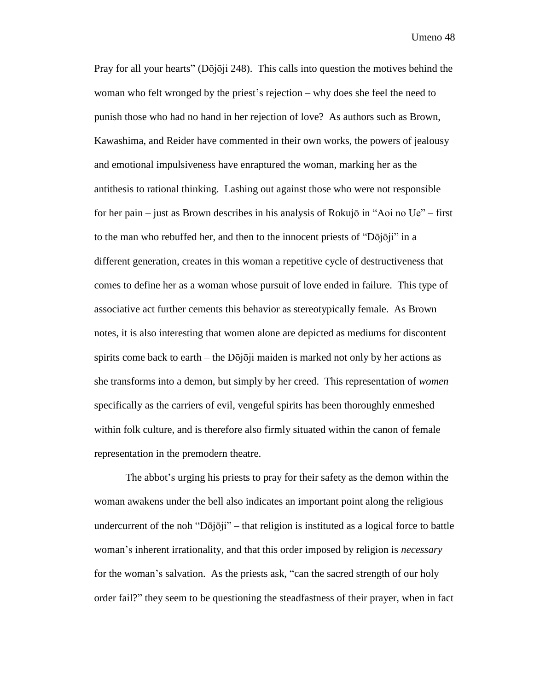Pray for all your hearts" (Dōjōji 248). This calls into question the motives behind the woman who felt wronged by the priest's rejection – why does she feel the need to punish those who had no hand in her rejection of love? As authors such as Brown, Kawashima, and Reider have commented in their own works, the powers of jealousy and emotional impulsiveness have enraptured the woman, marking her as the antithesis to rational thinking. Lashing out against those who were not responsible for her pain – just as Brown describes in his analysis of Rokujō in "Aoi no Ue" – first to the man who rebuffed her, and then to the innocent priests of "Dōjōji" in a different generation, creates in this woman a repetitive cycle of destructiveness that comes to define her as a woman whose pursuit of love ended in failure. This type of associative act further cements this behavior as stereotypically female. As Brown notes, it is also interesting that women alone are depicted as mediums for discontent spirits come back to earth – the  $D\overrightarrow{oj}$  maiden is marked not only by her actions as she transforms into a demon, but simply by her creed. This representation of *women* specifically as the carriers of evil, vengeful spirits has been thoroughly enmeshed within folk culture, and is therefore also firmly situated within the canon of female representation in the premodern theatre.

The abbot's urging his priests to pray for their safety as the demon within the woman awakens under the bell also indicates an important point along the religious undercurrent of the noh "Dōjōji" – that religion is instituted as a logical force to battle woman's inherent irrationality, and that this order imposed by religion is *necessary*  for the woman's salvation. As the priests ask, "can the sacred strength of our holy order fail?" they seem to be questioning the steadfastness of their prayer, when in fact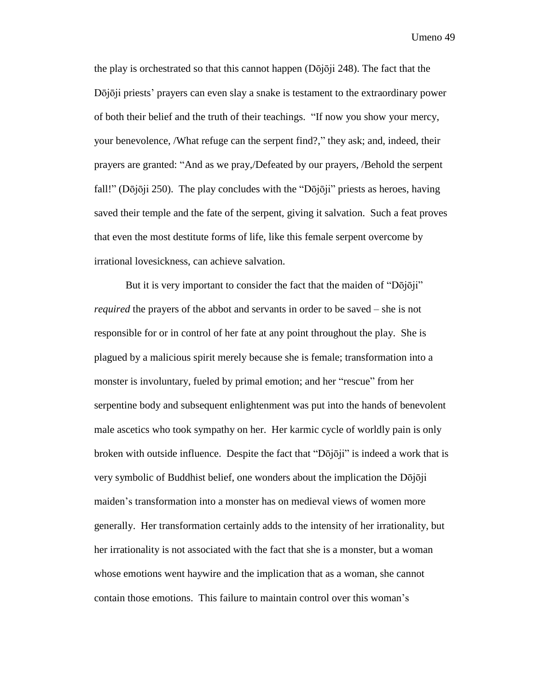the play is orchestrated so that this cannot happen (Dōjōji 248). The fact that the Dōjōji priests' prayers can even slay a snake is testament to the extraordinary power of both their belief and the truth of their teachings. "If now you show your mercy, your benevolence, /What refuge can the serpent find?," they ask; and, indeed, their prayers are granted: "And as we pray,/Defeated by our prayers, /Behold the serpent fall!" (Dōjōji 250). The play concludes with the "Dōjōji" priests as heroes, having saved their temple and the fate of the serpent, giving it salvation. Such a feat proves that even the most destitute forms of life, like this female serpent overcome by irrational lovesickness, can achieve salvation.

But it is very important to consider the fact that the maiden of "Dōjōji" *required* the prayers of the abbot and servants in order to be saved – she is not responsible for or in control of her fate at any point throughout the play. She is plagued by a malicious spirit merely because she is female; transformation into a monster is involuntary, fueled by primal emotion; and her "rescue" from her serpentine body and subsequent enlightenment was put into the hands of benevolent male ascetics who took sympathy on her. Her karmic cycle of worldly pain is only broken with outside influence. Despite the fact that "Dōjōji" is indeed a work that is very symbolic of Buddhist belief, one wonders about the implication the Dōjōji maiden's transformation into a monster has on medieval views of women more generally. Her transformation certainly adds to the intensity of her irrationality, but her irrationality is not associated with the fact that she is a monster, but a woman whose emotions went haywire and the implication that as a woman, she cannot contain those emotions. This failure to maintain control over this woman's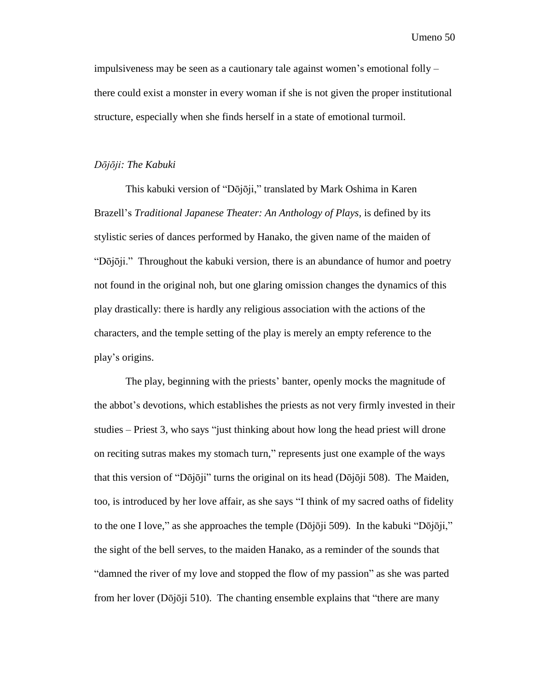impulsiveness may be seen as a cautionary tale against women's emotional folly – there could exist a monster in every woman if she is not given the proper institutional structure, especially when she finds herself in a state of emotional turmoil.

#### *Dōjōji: The Kabuki*

This kabuki version of "Dōjōji," translated by Mark Oshima in Karen Brazell's *Traditional Japanese Theater: An Anthology of Plays,* is defined by its stylistic series of dances performed by Hanako, the given name of the maiden of "Dōjōji." Throughout the kabuki version, there is an abundance of humor and poetry not found in the original noh, but one glaring omission changes the dynamics of this play drastically: there is hardly any religious association with the actions of the characters, and the temple setting of the play is merely an empty reference to the play's origins.

The play, beginning with the priests' banter, openly mocks the magnitude of the abbot's devotions, which establishes the priests as not very firmly invested in their studies – Priest 3, who says "just thinking about how long the head priest will drone on reciting sutras makes my stomach turn," represents just one example of the ways that this version of "Dōjōji" turns the original on its head (Dōjōji 508). The Maiden, too, is introduced by her love affair, as she says "I think of my sacred oaths of fidelity to the one I love," as she approaches the temple  $(D\bar{o}j\bar{o}ji 509)$ . In the kabuki "D $\bar{o}j\bar{o}ji$ " the sight of the bell serves, to the maiden Hanako, as a reminder of the sounds that "damned the river of my love and stopped the flow of my passion" as she was parted from her lover (Dōjōji 510). The chanting ensemble explains that "there are many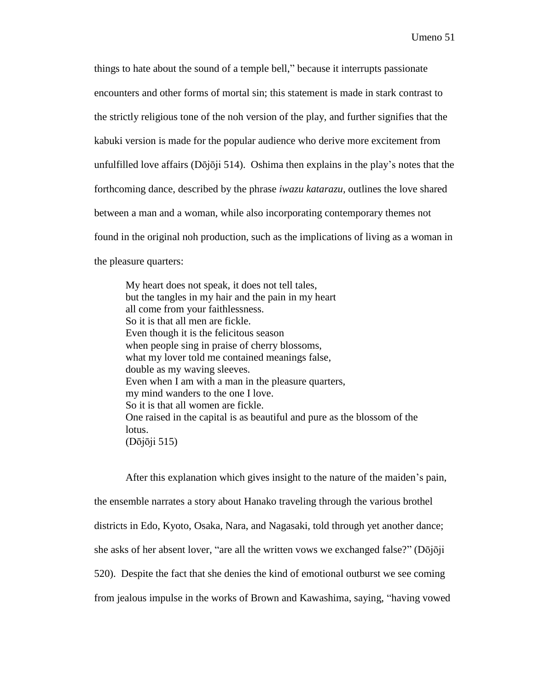things to hate about the sound of a temple bell," because it interrupts passionate encounters and other forms of mortal sin; this statement is made in stark contrast to the strictly religious tone of the noh version of the play, and further signifies that the kabuki version is made for the popular audience who derive more excitement from unfulfilled love affairs ( $D\bar{o}j\bar{o}j\bar{i}$  514). Oshima then explains in the play's notes that the forthcoming dance, described by the phrase *iwazu katarazu,* outlines the love shared between a man and a woman, while also incorporating contemporary themes not found in the original noh production, such as the implications of living as a woman in the pleasure quarters:

My heart does not speak, it does not tell tales, but the tangles in my hair and the pain in my heart all come from your faithlessness. So it is that all men are fickle. Even though it is the felicitous season when people sing in praise of cherry blossoms, what my lover told me contained meanings false, double as my waving sleeves. Even when I am with a man in the pleasure quarters, my mind wanders to the one I love. So it is that all women are fickle. One raised in the capital is as beautiful and pure as the blossom of the lotus. (Dōjōji 515)

After this explanation which gives insight to the nature of the maiden's pain, the ensemble narrates a story about Hanako traveling through the various brothel districts in Edo, Kyoto, Osaka, Nara, and Nagasaki, told through yet another dance; she asks of her absent lover, "are all the written vows we exchanged false?" (Dōjōji 520). Despite the fact that she denies the kind of emotional outburst we see coming from jealous impulse in the works of Brown and Kawashima, saying, "having vowed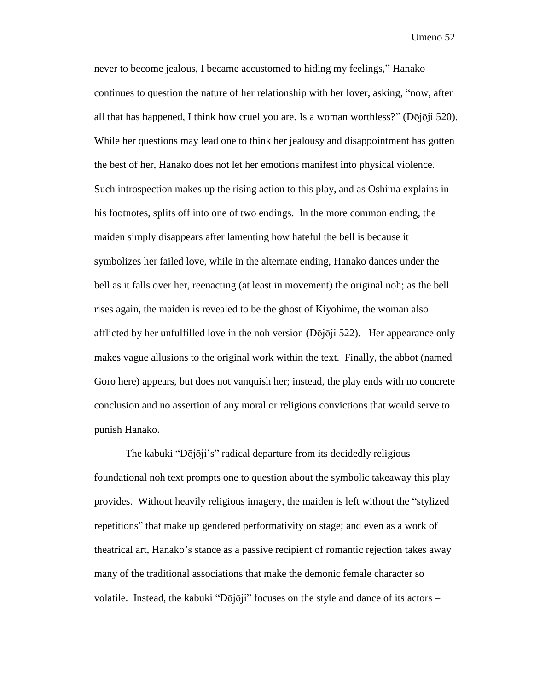never to become jealous, I became accustomed to hiding my feelings," Hanako continues to question the nature of her relationship with her lover, asking, "now, after all that has happened, I think how cruel you are. Is a woman worthless?" ( $D\bar{o}j\bar{o}ji$  520). While her questions may lead one to think her jealousy and disappointment has gotten the best of her, Hanako does not let her emotions manifest into physical violence. Such introspection makes up the rising action to this play, and as Oshima explains in his footnotes, splits off into one of two endings. In the more common ending, the maiden simply disappears after lamenting how hateful the bell is because it symbolizes her failed love, while in the alternate ending, Hanako dances under the bell as it falls over her, reenacting (at least in movement) the original noh; as the bell rises again, the maiden is revealed to be the ghost of Kiyohime, the woman also afflicted by her unfulfilled love in the noh version ( $D\bar{o}j\bar{o}ji$  522). Her appearance only makes vague allusions to the original work within the text. Finally, the abbot (named Goro here) appears, but does not vanquish her; instead, the play ends with no concrete conclusion and no assertion of any moral or religious convictions that would serve to punish Hanako.

The kabuki "Dōjōji's" radical departure from its decidedly religious foundational noh text prompts one to question about the symbolic takeaway this play provides. Without heavily religious imagery, the maiden is left without the "stylized repetitions" that make up gendered performativity on stage; and even as a work of theatrical art, Hanako's stance as a passive recipient of romantic rejection takes away many of the traditional associations that make the demonic female character so volatile. Instead, the kabuki "Dōjōji" focuses on the style and dance of its actors  $-$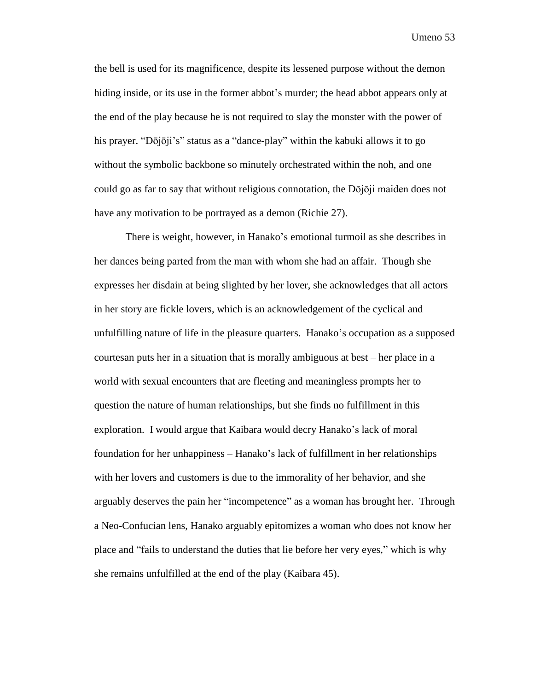the bell is used for its magnificence, despite its lessened purpose without the demon hiding inside, or its use in the former abbot's murder; the head abbot appears only at the end of the play because he is not required to slay the monster with the power of his prayer. "Dōjōji's" status as a "dance-play" within the kabuki allows it to go without the symbolic backbone so minutely orchestrated within the noh, and one could go as far to say that without religious connotation, the Dōjōji maiden does not have any motivation to be portrayed as a demon (Richie 27).

There is weight, however, in Hanako's emotional turmoil as she describes in her dances being parted from the man with whom she had an affair. Though she expresses her disdain at being slighted by her lover, she acknowledges that all actors in her story are fickle lovers, which is an acknowledgement of the cyclical and unfulfilling nature of life in the pleasure quarters. Hanako's occupation as a supposed courtesan puts her in a situation that is morally ambiguous at best – her place in a world with sexual encounters that are fleeting and meaningless prompts her to question the nature of human relationships, but she finds no fulfillment in this exploration. I would argue that Kaibara would decry Hanako's lack of moral foundation for her unhappiness – Hanako's lack of fulfillment in her relationships with her lovers and customers is due to the immorality of her behavior, and she arguably deserves the pain her "incompetence" as a woman has brought her. Through a Neo-Confucian lens, Hanako arguably epitomizes a woman who does not know her place and "fails to understand the duties that lie before her very eyes," which is why she remains unfulfilled at the end of the play (Kaibara 45).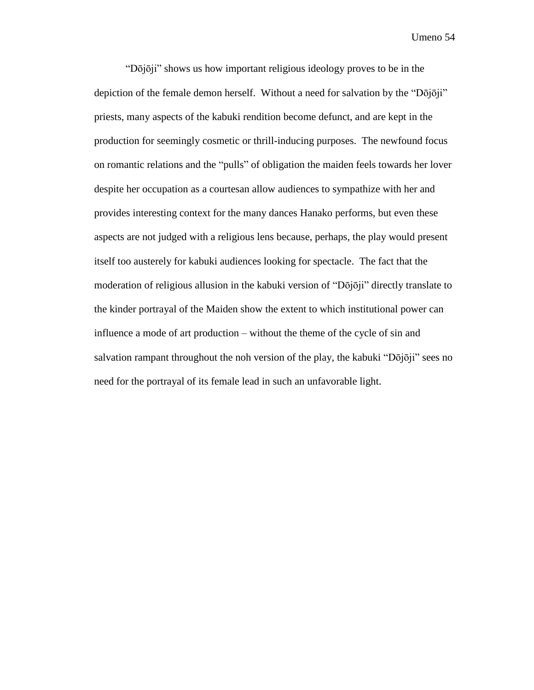"Dōjōji" shows us how important religious ideology proves to be in the depiction of the female demon herself. Without a need for salvation by the "Dōjōji" priests, many aspects of the kabuki rendition become defunct, and are kept in the production for seemingly cosmetic or thrill-inducing purposes. The newfound focus on romantic relations and the "pulls" of obligation the maiden feels towards her lover despite her occupation as a courtesan allow audiences to sympathize with her and provides interesting context for the many dances Hanako performs, but even these aspects are not judged with a religious lens because, perhaps, the play would present itself too austerely for kabuki audiences looking for spectacle. The fact that the moderation of religious allusion in the kabuki version of "Dōjōji" directly translate to the kinder portrayal of the Maiden show the extent to which institutional power can influence a mode of art production – without the theme of the cycle of sin and salvation rampant throughout the noh version of the play, the kabuki "Dōjōji" sees no need for the portrayal of its female lead in such an unfavorable light.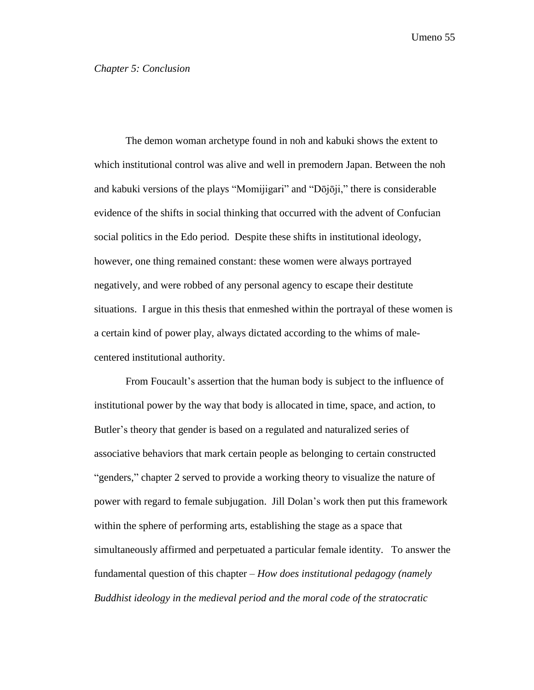<span id="page-55-0"></span>The demon woman archetype found in noh and kabuki shows the extent to which institutional control was alive and well in premodern Japan. Between the noh and kabuki versions of the plays "Momijigari" and "Dōjōji," there is considerable evidence of the shifts in social thinking that occurred with the advent of Confucian social politics in the Edo period. Despite these shifts in institutional ideology, however, one thing remained constant: these women were always portrayed negatively, and were robbed of any personal agency to escape their destitute situations. I argue in this thesis that enmeshed within the portrayal of these women is a certain kind of power play, always dictated according to the whims of malecentered institutional authority.

From Foucault's assertion that the human body is subject to the influence of institutional power by the way that body is allocated in time, space, and action, to Butler's theory that gender is based on a regulated and naturalized series of associative behaviors that mark certain people as belonging to certain constructed "genders," chapter 2 served to provide a working theory to visualize the nature of power with regard to female subjugation. Jill Dolan's work then put this framework within the sphere of performing arts, establishing the stage as a space that simultaneously affirmed and perpetuated a particular female identity. To answer the fundamental question of this chapter – *How does institutional pedagogy (namely Buddhist ideology in the medieval period and the moral code of the stratocratic*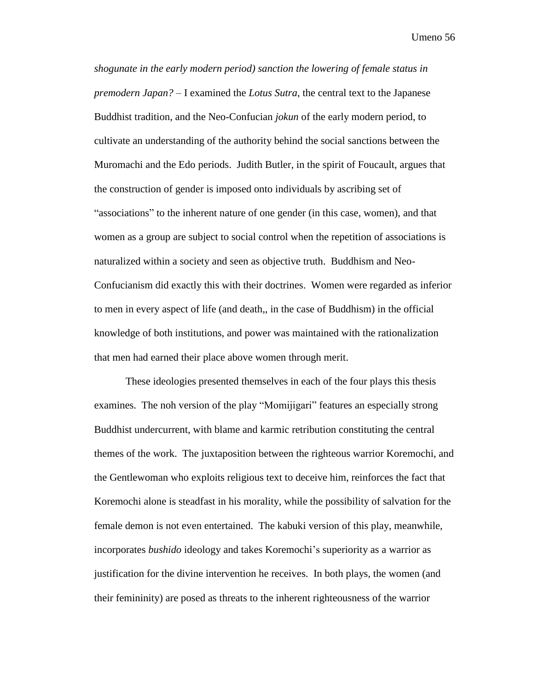*shogunate in the early modern period) sanction the lowering of female status in premodern Japan? –* I examined the *Lotus Sutra*, the central text to the Japanese Buddhist tradition, and the Neo-Confucian *jokun* of the early modern period, to cultivate an understanding of the authority behind the social sanctions between the Muromachi and the Edo periods. Judith Butler, in the spirit of Foucault, argues that the construction of gender is imposed onto individuals by ascribing set of "associations" to the inherent nature of one gender (in this case, women), and that women as a group are subject to social control when the repetition of associations is naturalized within a society and seen as objective truth. Buddhism and Neo-Confucianism did exactly this with their doctrines. Women were regarded as inferior to men in every aspect of life (and death,, in the case of Buddhism) in the official knowledge of both institutions, and power was maintained with the rationalization that men had earned their place above women through merit.

These ideologies presented themselves in each of the four plays this thesis examines. The noh version of the play "Momijigari" features an especially strong Buddhist undercurrent, with blame and karmic retribution constituting the central themes of the work. The juxtaposition between the righteous warrior Koremochi, and the Gentlewoman who exploits religious text to deceive him, reinforces the fact that Koremochi alone is steadfast in his morality, while the possibility of salvation for the female demon is not even entertained. The kabuki version of this play, meanwhile, incorporates *bushido* ideology and takes Koremochi's superiority as a warrior as justification for the divine intervention he receives. In both plays, the women (and their femininity) are posed as threats to the inherent righteousness of the warrior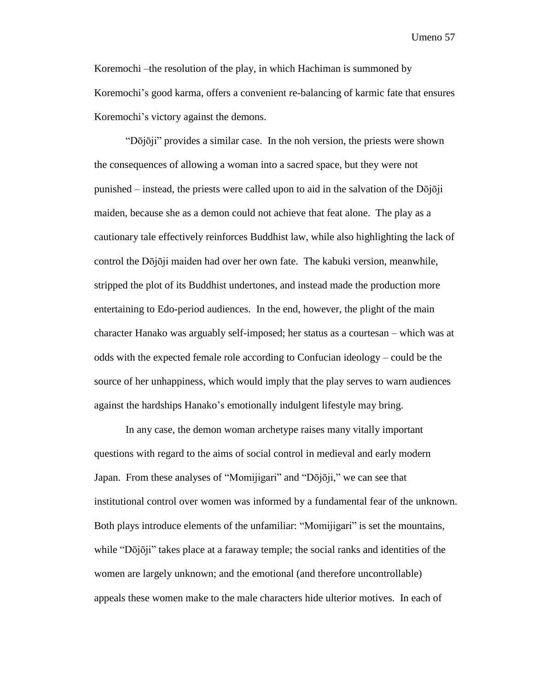Koremochi –the resolution of the play, in which Hachiman is summoned by Koremochi's good karma, offers a convenient re-balancing of karmic fate that ensures Koremochi's victory against the demons.

"Dōjōji" provides a similar case. In the noh version, the priests were shown the consequences of allowing a woman into a sacred space, but they were not punished – instead, the priests were called upon to aid in the salvation of the  $D\bar{o}j\bar{o}ji$ maiden, because she as a demon could not achieve that feat alone. The play as a cautionary tale effectively reinforces Buddhist law, while also highlighting the lack of control the Dōjōji maiden had over her own fate. The kabuki version, meanwhile, stripped the plot of its Buddhist undertones, and instead made the production more entertaining to Edo-period audiences. In the end, however, the plight of the main character Hanako was arguably self-imposed; her status as a courtesan – which was at odds with the expected female role according to Confucian ideology – could be the source of her unhappiness, which would imply that the play serves to warn audiences against the hardships Hanako's emotionally indulgent lifestyle may bring.

In any case, the demon woman archetype raises many vitally important questions with regard to the aims of social control in medieval and early modern Japan. From these analyses of "Momijigari" and "Dōjōji," we can see that institutional control over women was informed by a fundamental fear of the unknown. Both plays introduce elements of the unfamiliar: "Momijigari" is set the mountains, while "Dōjōji" takes place at a faraway temple; the social ranks and identities of the women are largely unknown; and the emotional (and therefore uncontrollable) appeals these women make to the male characters hide ulterior motives. In each of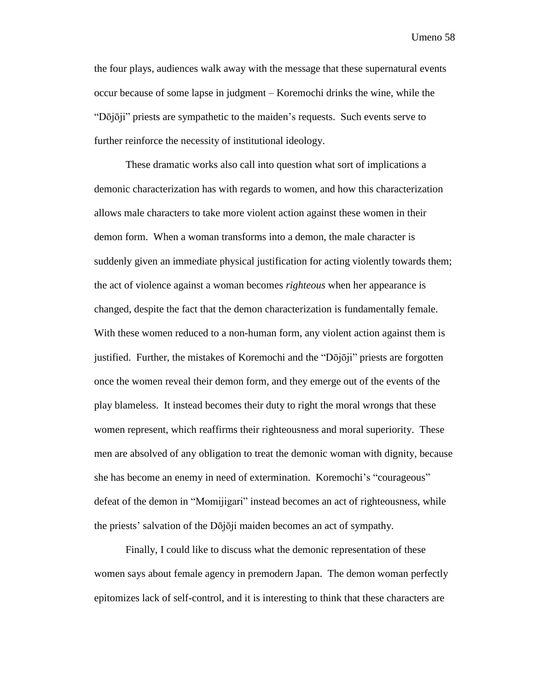the four plays, audiences walk away with the message that these supernatural events occur because of some lapse in judgment – Koremochi drinks the wine, while the "Dōjōji" priests are sympathetic to the maiden's requests. Such events serve to further reinforce the necessity of institutional ideology.

These dramatic works also call into question what sort of implications a demonic characterization has with regards to women, and how this characterization allows male characters to take more violent action against these women in their demon form. When a woman transforms into a demon, the male character is suddenly given an immediate physical justification for acting violently towards them; the act of violence against a woman becomes *righteous* when her appearance is changed, despite the fact that the demon characterization is fundamentally female. With these women reduced to a non-human form, any violent action against them is justified. Further, the mistakes of Koremochi and the "Dōjōji" priests are forgotten once the women reveal their demon form, and they emerge out of the events of the play blameless. It instead becomes their duty to right the moral wrongs that these women represent, which reaffirms their righteousness and moral superiority. These men are absolved of any obligation to treat the demonic woman with dignity, because she has become an enemy in need of extermination. Koremochi's "courageous" defeat of the demon in "Momijigari" instead becomes an act of righteousness, while the priests' salvation of the Dōjōji maiden becomes an act of sympathy.

Finally, I could like to discuss what the demonic representation of these women says about female agency in premodern Japan. The demon woman perfectly epitomizes lack of self-control, and it is interesting to think that these characters are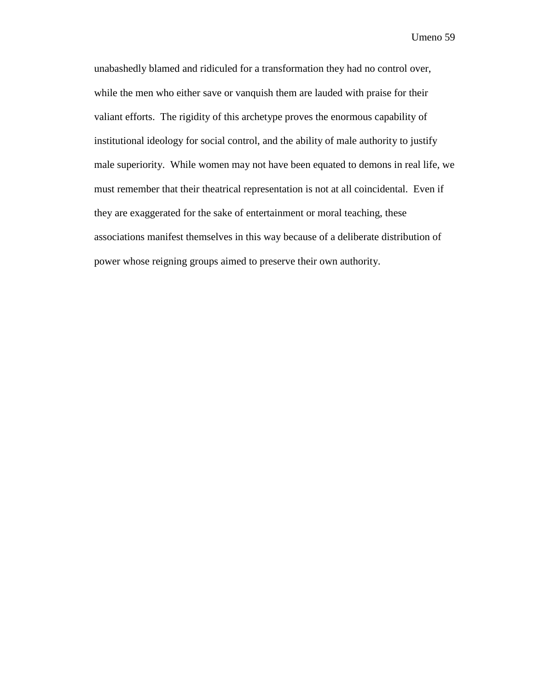unabashedly blamed and ridiculed for a transformation they had no control over, while the men who either save or vanquish them are lauded with praise for their valiant efforts. The rigidity of this archetype proves the enormous capability of institutional ideology for social control, and the ability of male authority to justify male superiority. While women may not have been equated to demons in real life, we must remember that their theatrical representation is not at all coincidental. Even if they are exaggerated for the sake of entertainment or moral teaching, these associations manifest themselves in this way because of a deliberate distribution of power whose reigning groups aimed to preserve their own authority.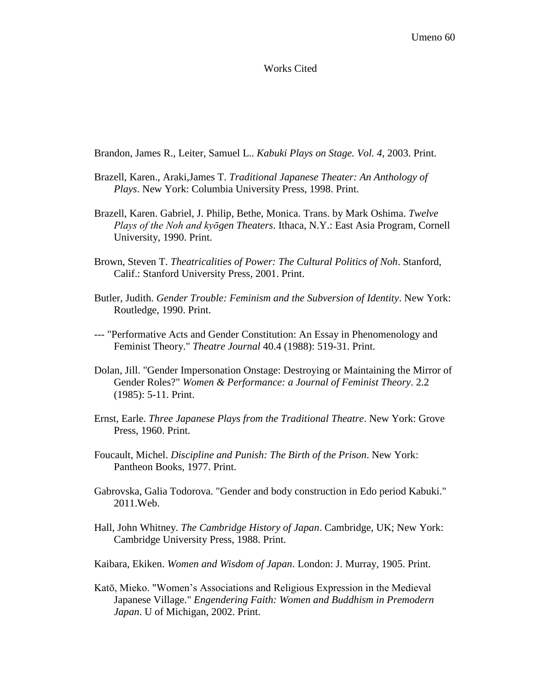#### Works Cited

<span id="page-60-0"></span>Brandon, James R., Leiter, Samuel L.. *Kabuki Plays on Stage. Vol. 4*, 2003. Print.

- Brazell, Karen., Araki,James T. *Traditional Japanese Theater: An Anthology of Plays*. New York: Columbia University Press, 1998. Print.
- Brazell, Karen. Gabriel, J. Philip, Bethe, Monica. Trans. by Mark Oshima. *Twelve Plays of the Noh and kyōgen Theaters*. Ithaca, N.Y.: East Asia Program, Cornell University, 1990. Print.
- Brown, Steven T. *Theatricalities of Power: The Cultural Politics of Noh*. Stanford, Calif.: Stanford University Press, 2001. Print.
- Butler, Judith. *Gender Trouble: Feminism and the Subversion of Identity*. New York: Routledge, 1990. Print.
- --- "Performative Acts and Gender Constitution: An Essay in Phenomenology and Feminist Theory." *Theatre Journal* 40.4 (1988): 519-31. Print.
- Dolan, Jill. "Gender Impersonation Onstage: Destroying or Maintaining the Mirror of Gender Roles?" *Women & Performance: a Journal of Feminist Theory*. 2.2 (1985): 5-11. Print.
- Ernst, Earle. *Three Japanese Plays from the Traditional Theatre*. New York: Grove Press, 1960. Print.
- Foucault, Michel. *Discipline and Punish: The Birth of the Prison*. New York: Pantheon Books, 1977. Print.
- Gabrovska, Galia Todorova. "Gender and body construction in Edo period Kabuki." 2011.Web.
- Hall, John Whitney. *The Cambridge History of Japan*. Cambridge, UK; New York: Cambridge University Press, 1988. Print.
- Kaibara, Ekiken. *Women and Wisdom of Japan*. London: J. Murray, 1905. Print.
- Katō, Mieko. "Women's Associations and Religious Expression in the Medieval Japanese Village." *Engendering Faith: Women and Buddhism in Premodern Japan*. U of Michigan, 2002. Print.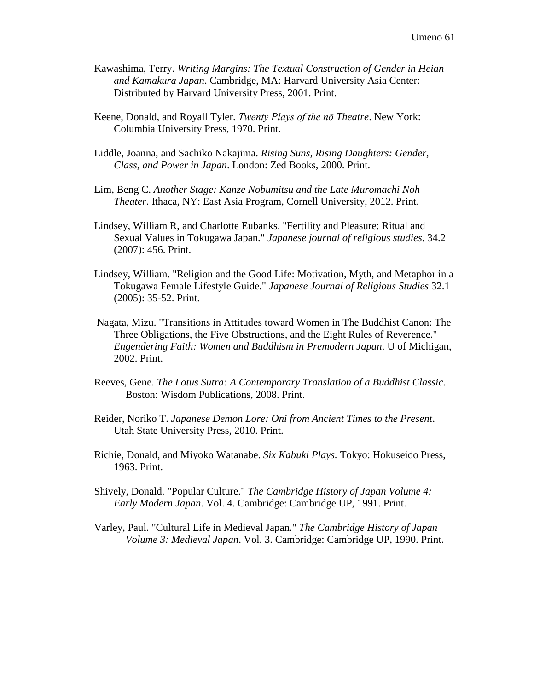- Kawashima, Terry. *Writing Margins: The Textual Construction of Gender in Heian and Kamakura Japan*. Cambridge, MA: Harvard University Asia Center: Distributed by Harvard University Press, 2001. Print.
- Keene, Donald, and Royall Tyler. *Twenty Plays of the nō Theatre*. New York: Columbia University Press, 1970. Print.
- Liddle, Joanna, and Sachiko Nakajima. *Rising Suns, Rising Daughters: Gender, Class, and Power in Japan*. London: Zed Books, 2000. Print.
- Lim, Beng C. *Another Stage: Kanze Nobumitsu and the Late Muromachi Noh Theater*. Ithaca, NY: East Asia Program, Cornell University, 2012. Print.
- Lindsey, William R, and Charlotte Eubanks. "Fertility and Pleasure: Ritual and Sexual Values in Tokugawa Japan." *Japanese journal of religious studies.* 34.2 (2007): 456. Print.
- Lindsey, William. "Religion and the Good Life: Motivation, Myth, and Metaphor in a Tokugawa Female Lifestyle Guide." *Japanese Journal of Religious Studies* 32.1 (2005): 35-52. Print.
- Nagata, Mizu. "Transitions in Attitudes toward Women in The Buddhist Canon: The Three Obligations, the Five Obstructions, and the Eight Rules of Reverence." *Engendering Faith: Women and Buddhism in Premodern Japan*. U of Michigan, 2002. Print.
- Reeves, Gene. *The Lotus Sutra: A Contemporary Translation of a Buddhist Classic*. Boston: Wisdom Publications, 2008. Print.
- Reider, Noriko T. *Japanese Demon Lore: Oni from Ancient Times to the Present*. Utah State University Press, 2010. Print.
- Richie, Donald, and Miyoko Watanabe. *Six Kabuki Plays.* Tokyo: Hokuseido Press, 1963. Print.
- Shively, Donald. "Popular Culture." *The Cambridge History of Japan Volume 4: Early Modern Japan*. Vol. 4. Cambridge: Cambridge UP, 1991. Print.
- Varley, Paul. "Cultural Life in Medieval Japan." *The Cambridge History of Japan Volume 3: Medieval Japan*. Vol. 3. Cambridge: Cambridge UP, 1990. Print.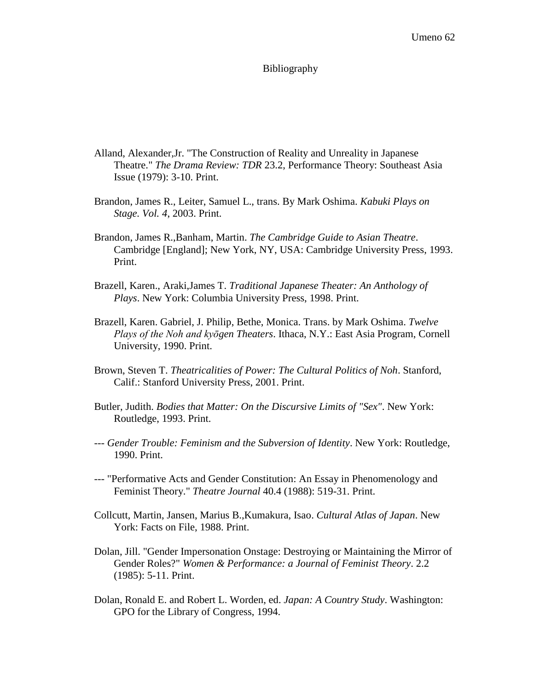#### Bibliography

- <span id="page-62-0"></span>Alland, Alexander,Jr. "The Construction of Reality and Unreality in Japanese Theatre." *The Drama Review: TDR* 23.2, Performance Theory: Southeast Asia Issue (1979): 3-10. Print.
- Brandon, James R., Leiter, Samuel L., trans. By Mark Oshima. *Kabuki Plays on Stage. Vol. 4*, 2003. Print.
- Brandon, James R.,Banham, Martin. *The Cambridge Guide to Asian Theatre*. Cambridge [England]; New York, NY, USA: Cambridge University Press, 1993. Print.
- Brazell, Karen., Araki,James T. *Traditional Japanese Theater: An Anthology of Plays*. New York: Columbia University Press, 1998. Print.
- Brazell, Karen. Gabriel, J. Philip, Bethe, Monica. Trans. by Mark Oshima. *Twelve Plays of the Noh and kyōgen Theaters*. Ithaca, N.Y.: East Asia Program, Cornell University, 1990. Print.
- Brown, Steven T. *Theatricalities of Power: The Cultural Politics of Noh*. Stanford, Calif.: Stanford University Press, 2001. Print.
- Butler, Judith. *Bodies that Matter: On the Discursive Limits of "Sex"*. New York: Routledge, 1993. Print.
- --- *Gender Trouble: Feminism and the Subversion of Identity*. New York: Routledge, 1990. Print.
- --- "Performative Acts and Gender Constitution: An Essay in Phenomenology and Feminist Theory." *Theatre Journal* 40.4 (1988): 519-31. Print.
- Collcutt, Martin, Jansen, Marius B.,Kumakura, Isao. *Cultural Atlas of Japan*. New York: Facts on File, 1988. Print.
- Dolan, Jill. "Gender Impersonation Onstage: Destroying or Maintaining the Mirror of Gender Roles?" *Women & Performance: a Journal of Feminist Theory*. 2.2 (1985): 5-11. Print.
- Dolan, Ronald E. and Robert L. Worden, ed. *Japan: A Country Study*. Washington: GPO for the Library of Congress, 1994.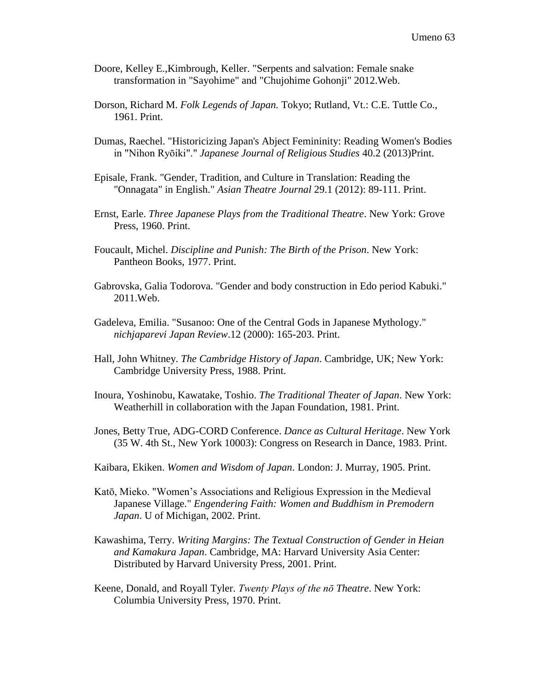- Doore, Kelley E.,Kimbrough, Keller. "Serpents and salvation: Female snake transformation in "Sayohime" and "Chujohime Gohonji" 2012.Web.
- Dorson, Richard M. *Folk Legends of Japan.* Tokyo; Rutland, Vt.: C.E. Tuttle Co., 1961. Print.
- Dumas, Raechel. "Historicizing Japan's Abject Femininity: Reading Women's Bodies in "Nihon Ryōiki"." *Japanese Journal of Religious Studies* 40.2 (2013)Print.
- Episale, Frank. "Gender, Tradition, and Culture in Translation: Reading the "Onnagata" in English." *Asian Theatre Journal* 29.1 (2012): 89-111. Print.
- Ernst, Earle. *Three Japanese Plays from the Traditional Theatre*. New York: Grove Press, 1960. Print.
- Foucault, Michel. *Discipline and Punish: The Birth of the Prison*. New York: Pantheon Books, 1977. Print.
- Gabrovska, Galia Todorova. "Gender and body construction in Edo period Kabuki." 2011.Web.
- Gadeleva, Emilia. "Susanoo: One of the Central Gods in Japanese Mythology." *nichjaparevi Japan Review*.12 (2000): 165-203. Print.
- Hall, John Whitney. *The Cambridge History of Japan*. Cambridge, UK; New York: Cambridge University Press, 1988. Print.
- Inoura, Yoshinobu, Kawatake, Toshio. *The Traditional Theater of Japan*. New York: Weatherhill in collaboration with the Japan Foundation, 1981. Print.
- Jones, Betty True, ADG-CORD Conference. *Dance as Cultural Heritage*. New York (35 W. 4th St., New York 10003): Congress on Research in Dance, 1983. Print.
- Kaibara, Ekiken. *Women and Wisdom of Japan*. London: J. Murray, 1905. Print.
- Katō, Mieko. "Women's Associations and Religious Expression in the Medieval Japanese Village." *Engendering Faith: Women and Buddhism in Premodern Japan*. U of Michigan, 2002. Print.
- Kawashima, Terry. *Writing Margins: The Textual Construction of Gender in Heian and Kamakura Japan*. Cambridge, MA: Harvard University Asia Center: Distributed by Harvard University Press, 2001. Print.
- Keene, Donald, and Royall Tyler. *Twenty Plays of the nō Theatre*. New York: Columbia University Press, 1970. Print.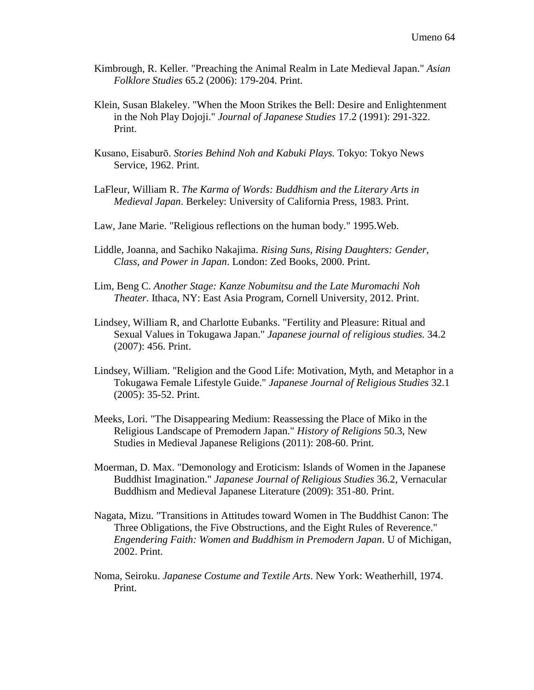- Kimbrough, R. Keller. "Preaching the Animal Realm in Late Medieval Japan." *Asian Folklore Studies* 65.2 (2006): 179-204. Print.
- Klein, Susan Blakeley. "When the Moon Strikes the Bell: Desire and Enlightenment in the Noh Play Dojoji." *Journal of Japanese Studies* 17.2 (1991): 291-322. Print.
- Kusano, Eisaburō. *Stories Behind Noh and Kabuki Plays.* Tokyo: Tokyo News Service, 1962. Print.
- LaFleur, William R. *The Karma of Words: Buddhism and the Literary Arts in Medieval Japan*. Berkeley: University of California Press, 1983. Print.
- Law, Jane Marie. "Religious reflections on the human body." 1995.Web.
- Liddle, Joanna, and Sachiko Nakajima. *Rising Suns, Rising Daughters: Gender, Class, and Power in Japan*. London: Zed Books, 2000. Print.
- Lim, Beng C. *Another Stage: Kanze Nobumitsu and the Late Muromachi Noh Theater*. Ithaca, NY: East Asia Program, Cornell University, 2012. Print.
- Lindsey, William R, and Charlotte Eubanks. "Fertility and Pleasure: Ritual and Sexual Values in Tokugawa Japan." *Japanese journal of religious studies.* 34.2 (2007): 456. Print.
- Lindsey, William. "Religion and the Good Life: Motivation, Myth, and Metaphor in a Tokugawa Female Lifestyle Guide." *Japanese Journal of Religious Studies* 32.1 (2005): 35-52. Print.
- Meeks, Lori. "The Disappearing Medium: Reassessing the Place of Miko in the Religious Landscape of Premodern Japan." *History of Religions* 50.3, New Studies in Medieval Japanese Religions (2011): 208-60. Print.
- Moerman, D. Max. "Demonology and Eroticism: Islands of Women in the Japanese Buddhist Imagination." *Japanese Journal of Religious Studies* 36.2, Vernacular Buddhism and Medieval Japanese Literature (2009): 351-80. Print.
- Nagata, Mizu. "Transitions in Attitudes toward Women in The Buddhist Canon: The Three Obligations, the Five Obstructions, and the Eight Rules of Reverence." *Engendering Faith: Women and Buddhism in Premodern Japan*. U of Michigan, 2002. Print.
- Noma, Seiroku. *Japanese Costume and Textile Arts*. New York: Weatherhill, 1974. Print.